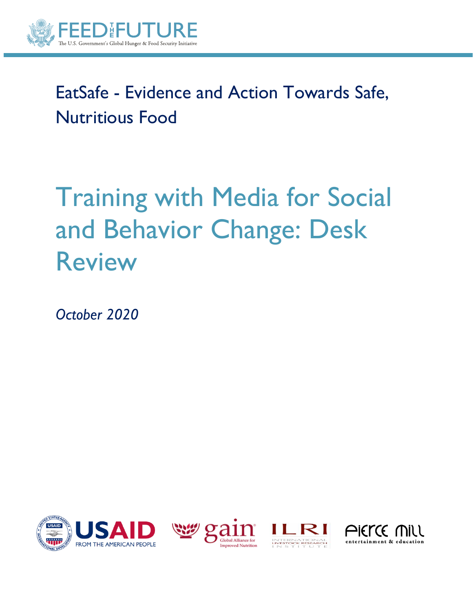

## EatSafe - Evidence and Action Towards Safe, Nutritious Food

# Training with Media for Social and Behavior Change: Desk Review

*October 2020*







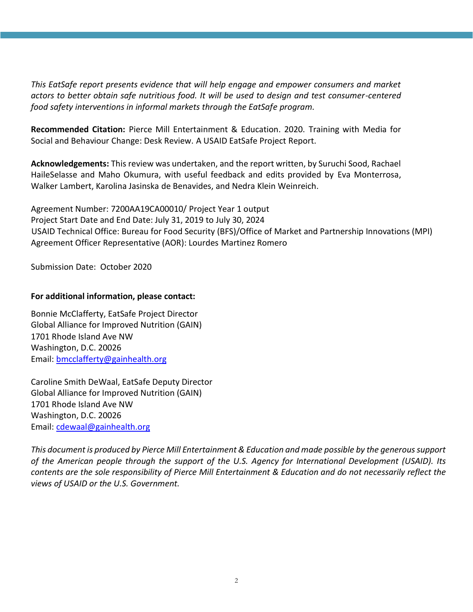*This EatSafe report presents evidence that will help engage and empower consumers and market actors to better obtain safe nutritious food. It will be used to design and test consumer-centered food safety interventions in informal markets through the EatSafe program.* 

**Recommended Citation:** Pierce Mill Entertainment & Education. 2020. Training with Media for Social and Behaviour Change: Desk Review. A USAID EatSafe Project Report.

**Acknowledgements:** This review was undertaken, and the report written, by Suruchi Sood, Rachael HaileSelasse and Maho Okumura, with useful feedback and edits provided by Eva Monterrosa, Walker Lambert, Karolina Jasinska de Benavides, and Nedra Klein Weinreich.

Agreement Number: 7200AA19CA00010/ Project Year 1 output Project Start Date and End Date: July 31, 2019 to July 30, 2024 USAID Technical Office: Bureau for Food Security (BFS)/Office of Market and Partnership Innovations (MPI) Agreement Officer Representative (AOR): Lourdes Martinez Romero

Submission Date: October 2020

#### **For additional information, please contact:**

Bonnie McClafferty, EatSafe Project Director Global Alliance for Improved Nutrition (GAIN) 1701 Rhode Island Ave NW Washington, D.C. 20026 Email: [bmcclafferty@gainhealth.org](mailto:bmcclafferty@gainhealth.org)

Caroline Smith DeWaal, EatSafe Deputy Director Global Alliance for Improved Nutrition (GAIN) 1701 Rhode Island Ave NW Washington, D.C. 20026 Email: [cdewaal@gainhealth.org](mailto:nsherif@gainhealth.org)

*This document is produced by Pierce Mill Entertainment & Education and made possible by the generous support of the American people through the support of the U.S. Agency for International Development (USAID). Its contents are the sole responsibility of Pierce Mill Entertainment & Education and do not necessarily reflect the views of USAID or the U.S. Government.*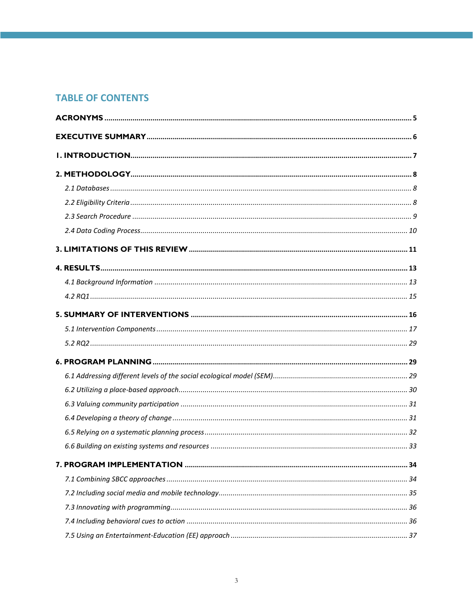## **TABLE OF CONTENTS**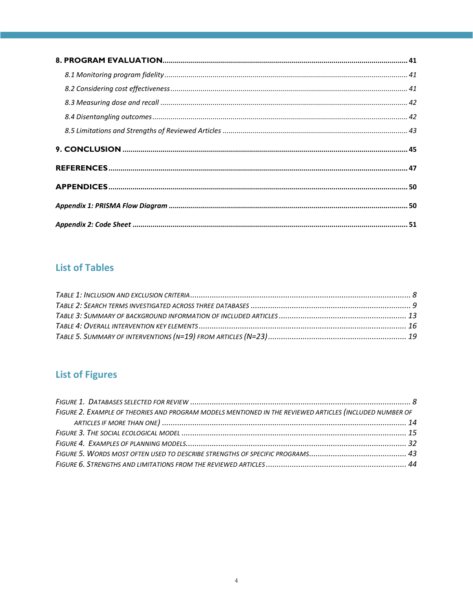## **List of Tables**

## **List of Figures**

<span id="page-3-0"></span>

| FIGURE 2. EXAMPLE OF THEORIES AND PROGRAM MODELS MENTIONED IN THE REVIEWED ARTICLES (INCLUDED NUMBER OF |  |
|---------------------------------------------------------------------------------------------------------|--|
|                                                                                                         |  |
|                                                                                                         |  |
|                                                                                                         |  |
|                                                                                                         |  |
|                                                                                                         |  |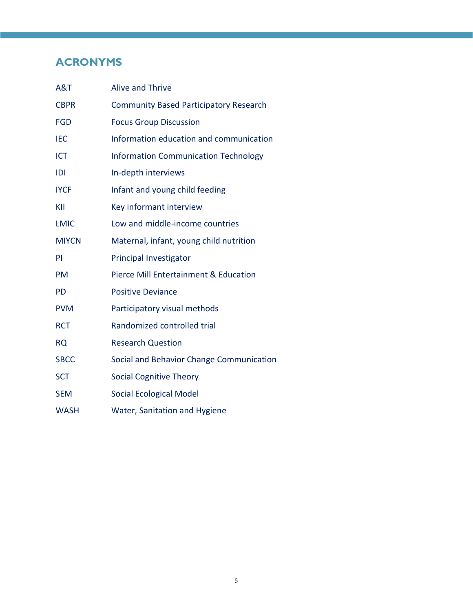## **ACRONYMS**

<span id="page-4-0"></span>

| A&T          | <b>Alive and Thrive</b>                       |
|--------------|-----------------------------------------------|
| <b>CBPR</b>  | <b>Community Based Participatory Research</b> |
| <b>FGD</b>   | <b>Focus Group Discussion</b>                 |
| <b>IEC</b>   | Information education and communication       |
| <b>ICT</b>   | <b>Information Communication Technology</b>   |
| IDI          | In-depth interviews                           |
| <b>IYCF</b>  | Infant and young child feeding                |
| KII          | Key informant interview                       |
| <b>LMIC</b>  | Low and middle-income countries               |
| <b>MIYCN</b> | Maternal, infant, young child nutrition       |
| PI           | <b>Principal Investigator</b>                 |
| <b>PM</b>    | Pierce Mill Entertainment & Education         |
| <b>PD</b>    | <b>Positive Deviance</b>                      |
| <b>PVM</b>   | Participatory visual methods                  |
| <b>RCT</b>   | Randomized controlled trial                   |
| <b>RQ</b>    | <b>Research Question</b>                      |
| <b>SBCC</b>  | Social and Behavior Change Communication      |
| <b>SCT</b>   | <b>Social Cognitive Theory</b>                |
| <b>SEM</b>   | <b>Social Ecological Model</b>                |
| <b>WASH</b>  | Water, Sanitation and Hygiene                 |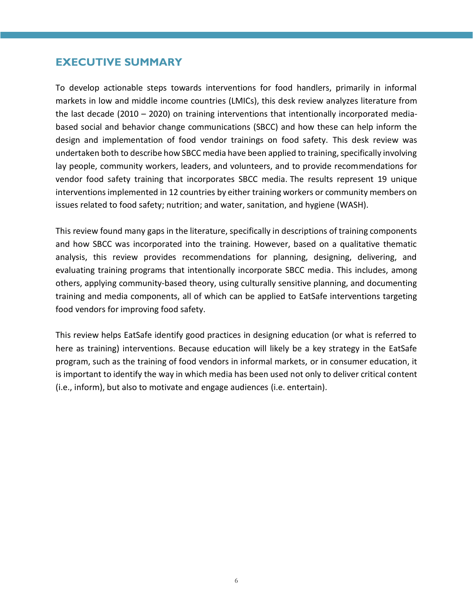## **EXECUTIVE SUMMARY**

To develop actionable steps towards interventions for food handlers, primarily in informal markets in low and middle income countries (LMICs), this desk review analyzes literature from the last decade (2010 – 2020) on training interventions that intentionally incorporated mediabased social and behavior change communications (SBCC) and how these can help inform the design and implementation of food vendor trainings on food safety. This desk review was undertaken both to describe how SBCC media have been applied to training, specifically involving lay people, community workers, leaders, and volunteers, and to provide recommendations for vendor food safety training that incorporates SBCC media. The results represent 19 unique interventions implemented in 12 countries by either training workers or community members on issues related to food safety; nutrition; and water, sanitation, and hygiene (WASH).

This review found many gaps in the literature, specifically in descriptions of training components and how SBCC was incorporated into the training. However, based on a qualitative thematic analysis, this review provides recommendations for planning, designing, delivering, and evaluating training programs that intentionally incorporate SBCC media. This includes, among others, applying community-based theory, using culturally sensitive planning, and documenting training and media components, all of which can be applied to EatSafe interventions targeting food vendors for improving food safety.

This review helps EatSafe identify good practices in designing education (or what is referred to here as training) interventions. Because education will likely be a key strategy in the EatSafe program, such as the training of food vendors in informal markets, or in consumer education, it is important to identify the way in which media has been used not only to deliver critical content (i.e., inform), but also to motivate and engage audiences (i.e. entertain).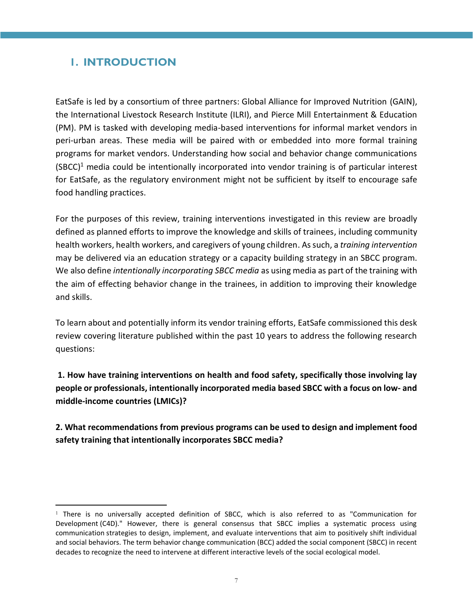## <span id="page-6-0"></span>**1. INTRODUCTION**

EatSafe is led by a consortium of three partners: Global Alliance for Improved Nutrition (GAIN), the International Livestock Research Institute (ILRI), and Pierce Mill Entertainment & Education (PM). PM is tasked with developing media-based interventions for informal market vendors in peri-urban areas. These media will be paired with or embedded into more formal training programs for market vendors. Understanding how social and behavior change communications  $(SBCC)^1$  media could be intentionally incorporated into vendor training is of particular interest for EatSafe, as the regulatory environment might not be sufficient by itself to encourage safe food handling practices.

For the purposes of this review, training interventions investigated in this review are broadly defined as planned efforts to improve the knowledge and skills of trainees, including community health workers, health workers, and caregivers of young children. As such, a *training intervention* may be delivered via an education strategy or a capacity building strategy in an SBCC program. We also define *intentionally incorporating SBCC media* as using media as part of the training with the aim of effecting behavior change in the trainees, in addition to improving their knowledge and skills.

To learn about and potentially inform its vendor training efforts, EatSafe commissioned this desk review covering literature published within the past 10 years to address the following research questions:

**1. How have training interventions on health and food safety, specifically those involving lay people or professionals, intentionally incorporated media based SBCC with a focus on low- and middle-income countries (LMICs)?**

**2. What recommendations from previous programs can be used to design and implement food safety training that intentionally incorporates SBCC media?**

<sup>&</sup>lt;sup>1</sup> There is no universally accepted definition of SBCC, which is also referred to as "Communication for Development (C4D)." However, there is general consensus that SBCC implies a systematic process using [communication](https://en.wikipedia.org/wiki/Communication) strategies to design, implement, and evaluate interventions that aim to positively shift individual and social behaviors. The term behavior change communication (BCC) added the social component (SBCC) in recent decades to recognize the need to intervene at different interactive levels of the social ecological model.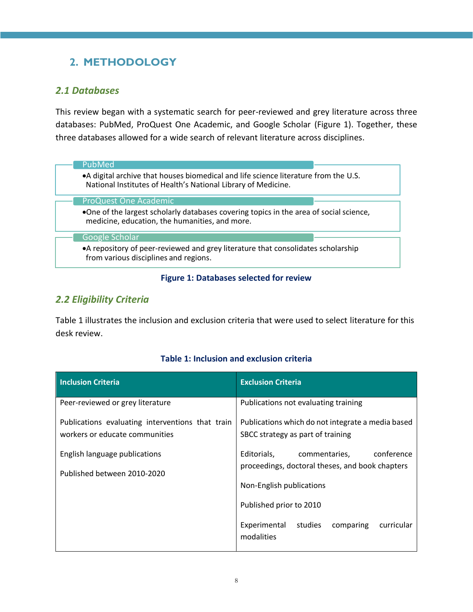## <span id="page-7-0"></span>**2. METHODOLOGY**

## <span id="page-7-1"></span>*2.1 Databases*

This review began with a systematic search for peer-reviewed and grey literature across three databases: PubMed, ProQuest One Academic, and Google Scholar (Figure 1). Together, these three databases allowed for a wide search of relevant literature across disciplines.

## PubMed

•A digital archive that houses biomedical and life science literature from the U.S. National Institutes of Health's National Library of Medicine.

#### ProQuest One Academic

•One of the largest scholarly databases covering topics in the area of social science, medicine, education, the humanities, and more.

#### Google Scholar

•A repository of peer-reviewed and grey literature that consolidates scholarship from various disciplines and regions.

#### **Figure 1: Databases selected for review**

## <span id="page-7-4"></span><span id="page-7-2"></span>*2.2 Eligibility Criteria*

Table 1 illustrates the inclusion and exclusion criteria that were used to select literature for this desk review.

#### **Table 1: Inclusion and exclusion criteria**

<span id="page-7-3"></span>

| <b>Inclusion Criteria</b>                                                          | <b>Exclusion Criteria</b>                                                                     |  |  |  |
|------------------------------------------------------------------------------------|-----------------------------------------------------------------------------------------------|--|--|--|
| Peer-reviewed or grey literature                                                   | Publications not evaluating training                                                          |  |  |  |
| Publications evaluating interventions that train<br>workers or educate communities | Publications which do not integrate a media based<br>SBCC strategy as part of training        |  |  |  |
| English language publications                                                      | conference<br>Editorials,<br>commentaries,<br>proceedings, doctoral theses, and book chapters |  |  |  |
| Published between 2010-2020                                                        | Non-English publications                                                                      |  |  |  |
|                                                                                    | Published prior to 2010                                                                       |  |  |  |
|                                                                                    | Experimental<br>comparing<br>curricular<br>studies<br>modalities                              |  |  |  |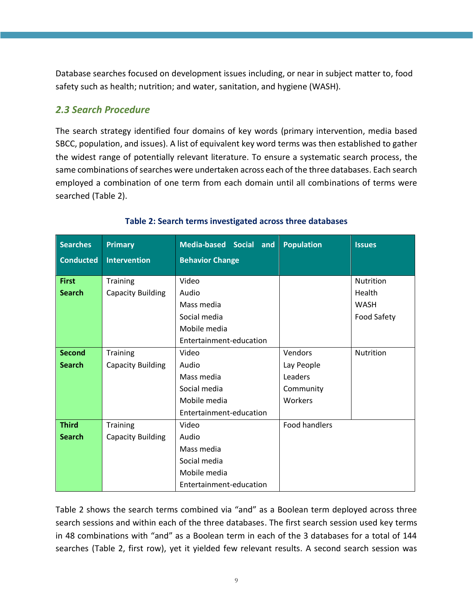Database searches focused on development issues including, or near in subject matter to, food safety such as health; nutrition; and water, sanitation, and hygiene (WASH).

## <span id="page-8-0"></span>*2.3 Search Procedure*

The search strategy identified four domains of key words (primary intervention, media based SBCC, population, and issues). A list of equivalent key word terms was then established to gather the widest range of potentially relevant literature. To ensure a systematic search process, the same combinations of searches were undertaken across each of the three databases. Each search employed a combination of one term from each domain until all combinations of terms were searched (Table 2).

<span id="page-8-1"></span>

| <b>Searches</b>               | <b>Primary</b>                       | Media-based Social and                                  | <b>Population</b>    | <b>Issues</b>                             |
|-------------------------------|--------------------------------------|---------------------------------------------------------|----------------------|-------------------------------------------|
| <b>Conducted</b>              | <b>Intervention</b>                  | <b>Behavior Change</b>                                  |                      |                                           |
| <b>First</b><br><b>Search</b> | Training<br><b>Capacity Building</b> | Video<br>Audio<br>Mass media                            |                      | <b>Nutrition</b><br>Health<br><b>WASH</b> |
|                               |                                      | Social media<br>Mobile media<br>Entertainment-education |                      | Food Safety                               |
| <b>Second</b>                 | Training                             | Video                                                   | Vendors              | <b>Nutrition</b>                          |
| <b>Search</b>                 | <b>Capacity Building</b>             | Audio                                                   | Lay People           |                                           |
|                               |                                      | Mass media                                              | Leaders              |                                           |
|                               |                                      | Social media                                            | Community            |                                           |
|                               |                                      | Mobile media                                            | <b>Workers</b>       |                                           |
|                               |                                      | Entertainment-education                                 |                      |                                           |
| <b>Third</b>                  | Training                             | Video                                                   | <b>Food handlers</b> |                                           |
| <b>Search</b>                 | <b>Capacity Building</b>             | Audio                                                   |                      |                                           |
|                               |                                      | Mass media                                              |                      |                                           |
|                               |                                      | Social media                                            |                      |                                           |
|                               |                                      | Mobile media                                            |                      |                                           |
|                               |                                      | Entertainment-education                                 |                      |                                           |

#### **Table 2: Search terms investigated across three databases**

Table 2 shows the search terms combined via "and" as a Boolean term deployed across three search sessions and within each of the three databases. The first search session used key terms in 48 combinations with "and" as a Boolean term in each of the 3 databases for a total of 144 searches (Table 2, first row), yet it yielded few relevant results. A second search session was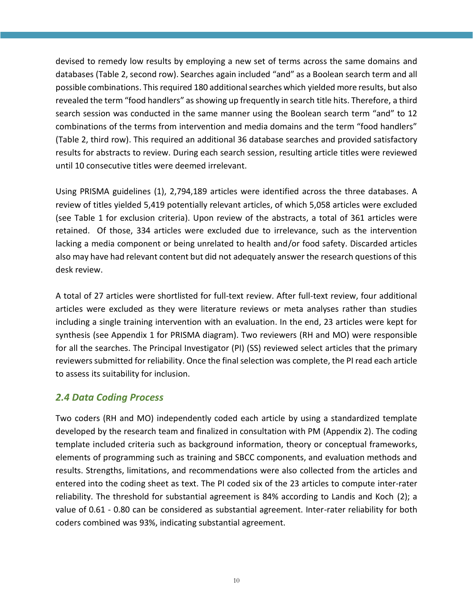devised to remedy low results by employing a new set of terms across the same domains and databases (Table 2, second row). Searches again included "and" as a Boolean search term and all possible combinations. This required 180 additional searches which yielded more results, but also revealed the term "food handlers" as showing up frequently in search title hits. Therefore, a third search session was conducted in the same manner using the Boolean search term "and" to 12 combinations of the terms from intervention and media domains and the term "food handlers" (Table 2, third row). This required an additional 36 database searches and provided satisfactory results for abstracts to review. During each search session, resulting article titles were reviewed until 10 consecutive titles were deemed irrelevant.

Using PRISMA guidelines (1), 2,794,189 articles were identified across the three databases. A review of titles yielded 5,419 potentially relevant articles, of which 5,058 articles were excluded (see Table 1 for exclusion criteria). Upon review of the abstracts, a total of 361 articles were retained. Of those, 334 articles were excluded due to irrelevance, such as the intervention lacking a media component or being unrelated to health and/or food safety. Discarded articles also may have had relevant content but did not adequately answer the research questions of this desk review.

A total of 27 articles were shortlisted for full-text review. After full-text review, four additional articles were excluded as they were literature reviews or meta analyses rather than studies including a single training intervention with an evaluation. In the end, 23 articles were kept for synthesis (see Appendix 1 for PRISMA diagram). Two reviewers (RH and MO) were responsible for all the searches. The Principal Investigator (PI) (SS) reviewed select articles that the primary reviewers submitted for reliability. Once the final selection was complete, the PI read each article to assess its suitability for inclusion.

## <span id="page-9-0"></span>*2.4 Data Coding Process*

Two coders (RH and MO) independently coded each article by using a standardized template developed by the research team and finalized in consultation with PM (Appendix 2). The coding template included criteria such as background information, theory or conceptual frameworks, elements of programming such as training and SBCC components, and evaluation methods and results. Strengths, limitations, and recommendations were also collected from the articles and entered into the coding sheet as text. The PI coded six of the 23 articles to compute inter-rater reliability. The threshold for substantial agreement is 84% according to Landis and Koch (2); a value of 0.61 - 0.80 can be considered as substantial agreement. Inter-rater reliability for both coders combined was 93%, indicating substantial agreement.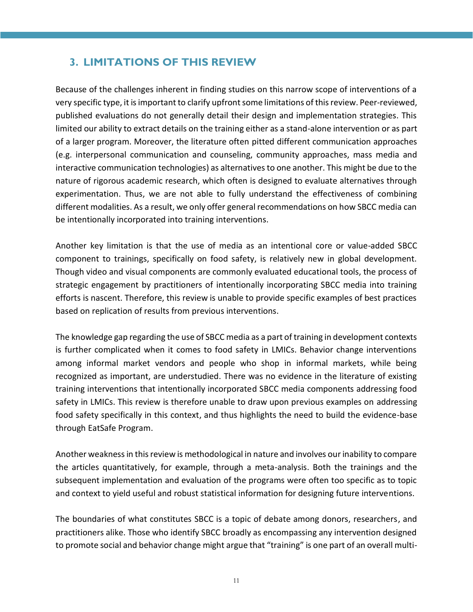## <span id="page-10-0"></span>**3. LIMITATIONS OF THIS REVIEW**

Because of the challenges inherent in finding studies on this narrow scope of interventions of a very specific type, it is important to clarify upfront some limitations of this review. Peer-reviewed, published evaluations do not generally detail their design and implementation strategies. This limited our ability to extract details on the training either as a stand-alone intervention or as part of a larger program. Moreover, the literature often pitted different communication approaches (e.g. interpersonal communication and counseling, community approaches, mass media and interactive communication technologies) as alternatives to one another. This might be due to the nature of rigorous academic research, which often is designed to evaluate alternatives through experimentation. Thus, we are not able to fully understand the effectiveness of combining different modalities. As a result, we only offer general recommendations on how SBCC media can be intentionally incorporated into training interventions.

Another key limitation is that the use of media as an intentional core or value-added SBCC component to trainings, specifically on food safety, is relatively new in global development. Though video and visual components are commonly evaluated educational tools, the process of strategic engagement by practitioners of intentionally incorporating SBCC media into training efforts is nascent. Therefore, this review is unable to provide specific examples of best practices based on replication of results from previous interventions.

The knowledge gap regarding the use of SBCC media as a part of training in development contexts is further complicated when it comes to food safety in LMICs. Behavior change interventions among informal market vendors and people who shop in informal markets, while being recognized as important, are understudied. There was no evidence in the literature of existing training interventions that intentionally incorporated SBCC media components addressing food safety in LMICs. This review is therefore unable to draw upon previous examples on addressing food safety specifically in this context, and thus highlights the need to build the evidence-base through EatSafe Program.

Another weakness in this review is methodological in nature and involves our inability to compare the articles quantitatively, for example, through a meta-analysis. Both the trainings and the subsequent implementation and evaluation of the programs were often too specific as to topic and context to yield useful and robust statistical information for designing future interventions.

The boundaries of what constitutes SBCC is a topic of debate among donors, researchers, and practitioners alike. Those who identify SBCC broadly as encompassing any intervention designed to promote social and behavior change might argue that "training" is one part of an overall multi-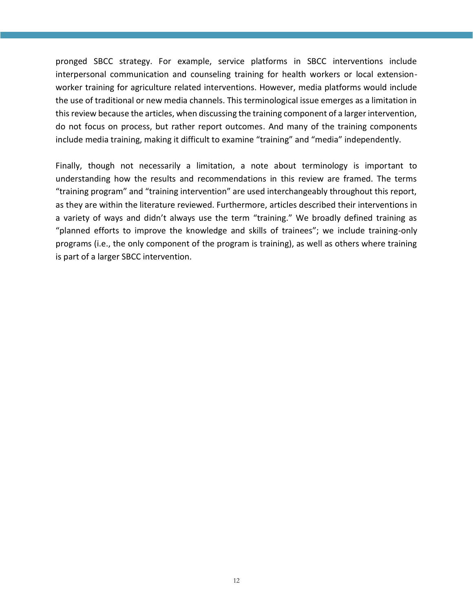pronged SBCC strategy. For example, service platforms in SBCC interventions include interpersonal communication and counseling training for health workers or local extensionworker training for agriculture related interventions. However, media platforms would include the use of traditional or new media channels. This terminological issue emerges as a limitation in this review because the articles, when discussing the training component of a larger intervention, do not focus on process, but rather report outcomes. And many of the training components include media training, making it difficult to examine "training" and "media" independently.

Finally, though not necessarily a limitation, a note about terminology is important to understanding how the results and recommendations in this review are framed. The terms "training program" and "training intervention" are used interchangeably throughout this report, as they are within the literature reviewed. Furthermore, articles described their interventions in a variety of ways and didn't always use the term "training." We broadly defined training as "planned efforts to improve the knowledge and skills of trainees"; we include training-only programs (i.e., the only component of the program is training), as well as others where training is part of a larger SBCC intervention.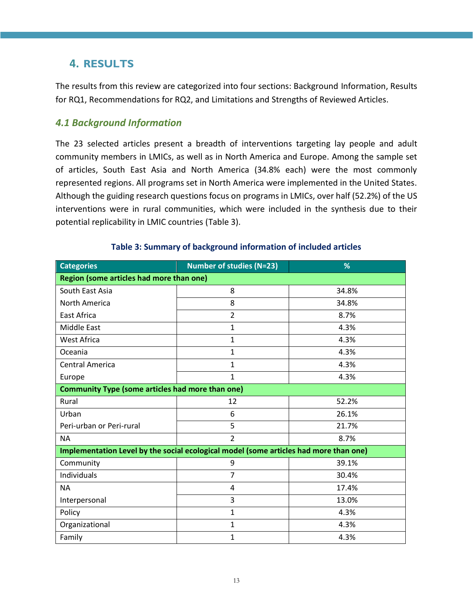## <span id="page-12-0"></span>**4. RESULTS**

The results from this review are categorized into four sections: Background Information, Results for RQ1, Recommendations for RQ2, and Limitations and Strengths of Reviewed Articles.

#### <span id="page-12-1"></span>*4.1 Background Information*

The 23 selected articles present a breadth of interventions targeting lay people and adult community members in LMICs, as well as in North America and Europe. Among the sample set of articles, South East Asia and North America (34.8% each) were the most commonly represented regions. All programs set in North America were implemented in the United States. Although the guiding research questions focus on programs in LMICs, over half (52.2%) of the US interventions were in rural communities, which were included in the synthesis due to their potential replicability in LMIC countries (Table 3).

<span id="page-12-2"></span>

| <b>Categories</b>                                                                     | <b>Number of studies (N=23)</b> | %     |  |  |  |  |
|---------------------------------------------------------------------------------------|---------------------------------|-------|--|--|--|--|
| Region (some articles had more than one)                                              |                                 |       |  |  |  |  |
| South East Asia                                                                       | 8                               | 34.8% |  |  |  |  |
| North America                                                                         | 8                               | 34.8% |  |  |  |  |
| <b>East Africa</b>                                                                    | $\overline{2}$                  | 8.7%  |  |  |  |  |
| <b>Middle East</b>                                                                    | $\mathbf{1}$                    | 4.3%  |  |  |  |  |
| <b>West Africa</b>                                                                    | $\mathbf{1}$                    | 4.3%  |  |  |  |  |
| Oceania                                                                               | $\mathbf{1}$                    | 4.3%  |  |  |  |  |
| <b>Central America</b>                                                                | $\mathbf{1}$                    | 4.3%  |  |  |  |  |
| Europe                                                                                | $\mathbf{1}$                    | 4.3%  |  |  |  |  |
| <b>Community Type (some articles had more than one)</b>                               |                                 |       |  |  |  |  |
| Rural                                                                                 | 12                              | 52.2% |  |  |  |  |
| Urban                                                                                 | 6                               | 26.1% |  |  |  |  |
| Peri-urban or Peri-rural                                                              | 5                               | 21.7% |  |  |  |  |
| <b>NA</b>                                                                             | $\overline{2}$                  | 8.7%  |  |  |  |  |
| Implementation Level by the social ecological model (some articles had more than one) |                                 |       |  |  |  |  |
| Community                                                                             | 9                               | 39.1% |  |  |  |  |
| Individuals                                                                           | 7                               | 30.4% |  |  |  |  |
| <b>NA</b>                                                                             | 4                               | 17.4% |  |  |  |  |
| Interpersonal                                                                         | 3                               | 13.0% |  |  |  |  |
| Policy                                                                                | $\mathbf{1}$                    | 4.3%  |  |  |  |  |
| Organizational                                                                        | $\mathbf{1}$                    | 4.3%  |  |  |  |  |
| Family                                                                                | 1                               | 4.3%  |  |  |  |  |

#### **Table 3: Summary of background information of included articles**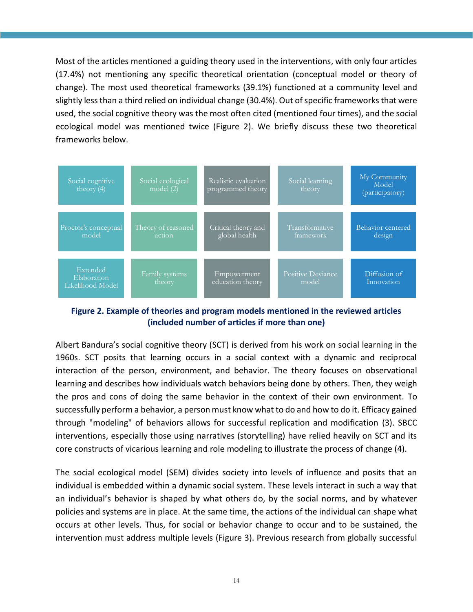Most of the articles mentioned a guiding theory used in the interventions, with only four articles (17.4%) not mentioning any specific theoretical orientation (conceptual model or theory of change). The most used theoretical frameworks (39.1%) functioned at a community level and slightly less than a third relied on individual change (30.4%). Out of specific frameworks that were used, the social cognitive theory was the most often cited (mentioned four times), and the social ecological model was mentioned twice (Figure 2). We briefly discuss these two theoretical frameworks below.



<span id="page-13-0"></span>**Figure 2. Example of theories and program models mentioned in the reviewed articles (included number of articles if more than one)**

Albert Bandura's social cognitive theory (SCT) is derived from his work on social learning in the 1960s. SCT posits that learning occurs in a social context with a dynamic and reciprocal interaction of the person, environment, and behavior. The theory focuses on observational learning and describes how individuals watch behaviors being done by others. Then, they weigh the pros and cons of doing the same behavior in the context of their own environment. To successfully perform a behavior, a person must know what to do and how to do it. Efficacy gained through "modeling" of behaviors allows for successful replication and modification (3). SBCC interventions, especially those using narratives (storytelling) have relied heavily on SCT and its core constructs of vicarious learning and role modeling to illustrate the process of change (4).

The social ecological model (SEM) divides society into levels of influence and posits that an individual is embedded within a dynamic social system. These levels interact in such a way that an individual's behavior is shaped by what others do, by the social norms, and by whatever policies and systems are in place. At the same time, the actions of the individual can shape what occurs at other levels. Thus, for social or behavior change to occur and to be sustained, the intervention must address multiple levels (Figure 3). Previous research from globally successful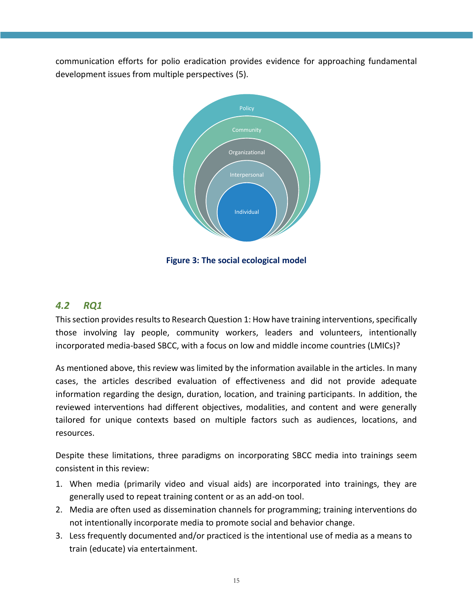communication efforts for polio eradication provides evidence for approaching fundamental development issues from multiple perspectives (5).



**Figure 3: The social ecological model**

## <span id="page-14-1"></span><span id="page-14-0"></span>*4.2 RQ1*

This section provides results to Research Question 1: How have training interventions, specifically those involving lay people, community workers, leaders and volunteers, intentionally incorporated media-based SBCC, with a focus on low and middle income countries (LMICs)?

As mentioned above, this review was limited by the information available in the articles. In many cases, the articles described evaluation of effectiveness and did not provide adequate information regarding the design, duration, location, and training participants. In addition, the reviewed interventions had different objectives, modalities, and content and were generally tailored for unique contexts based on multiple factors such as audiences, locations, and resources.

Despite these limitations, three paradigms on incorporating SBCC media into trainings seem consistent in this review:

- 1. When media (primarily video and visual aids) are incorporated into trainings, they are generally used to repeat training content or as an add-on tool.
- 2. Media are often used as dissemination channels for programming; training interventions do not intentionally incorporate media to promote social and behavior change.
- 3. Less frequently documented and/or practiced is the intentional use of media as a means to train (educate) via entertainment.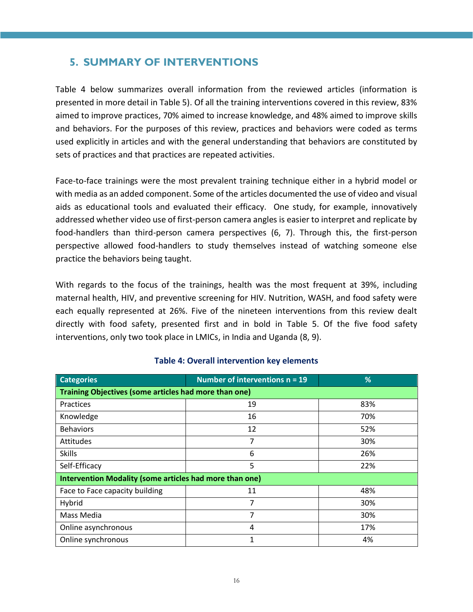## <span id="page-15-0"></span>**5. SUMMARY OF INTERVENTIONS**

Table 4 below summarizes overall information from the reviewed articles (information is presented in more detail in Table 5). Of all the training interventions covered in this review, 83% aimed to improve practices, 70% aimed to increase knowledge, and 48% aimed to improve skills and behaviors. For the purposes of this review, practices and behaviors were coded as terms used explicitly in articles and with the general understanding that behaviors are constituted by sets of practices and that practices are repeated activities.

Face-to-face trainings were the most prevalent training technique either in a hybrid model or with media as an added component. Some of the articles documented the use of video and visual aids as educational tools and evaluated their efficacy. One study, for example, innovatively addressed whether video use of first-person camera angles is easier to interpret and replicate by food-handlers than third-person camera perspectives (6, 7). Through this, the first-person perspective allowed food-handlers to study themselves instead of watching someone else practice the behaviors being taught.

With regards to the focus of the trainings, health was the most frequent at 39%, including maternal health, HIV, and preventive screening for HIV. Nutrition, WASH, and food safety were each equally represented at 26%. Five of the nineteen interventions from this review dealt directly with food safety, presented first and in bold in Table 5. Of the five food safety interventions, only two took place in LMICs, in India and Uganda (8, 9).

<span id="page-15-1"></span>

| <b>Categories</b>                                       | Number of interventions $n = 19$ | %          |  |  |  |  |  |
|---------------------------------------------------------|----------------------------------|------------|--|--|--|--|--|
| Training Objectives (some articles had more than one)   |                                  |            |  |  |  |  |  |
| <b>Practices</b>                                        | 19                               | 83%        |  |  |  |  |  |
| Knowledge                                               | 16                               | 70%        |  |  |  |  |  |
| <b>Behaviors</b>                                        | 12                               | 52%        |  |  |  |  |  |
| <b>Attitudes</b>                                        | 7                                | 30%        |  |  |  |  |  |
| <b>Skills</b>                                           | 6                                | 26%<br>22% |  |  |  |  |  |
| Self-Efficacy                                           | 5                                |            |  |  |  |  |  |
| Intervention Modality (some articles had more than one) |                                  |            |  |  |  |  |  |
| Face to Face capacity building                          | 11                               | 48%        |  |  |  |  |  |
| Hybrid                                                  | 7                                | 30%        |  |  |  |  |  |
| Mass Media                                              | 7                                | 30%        |  |  |  |  |  |
| Online asynchronous                                     | 4                                | 17%        |  |  |  |  |  |
| Online synchronous                                      | 1                                | 4%         |  |  |  |  |  |

#### **Table 4: Overall intervention key elements**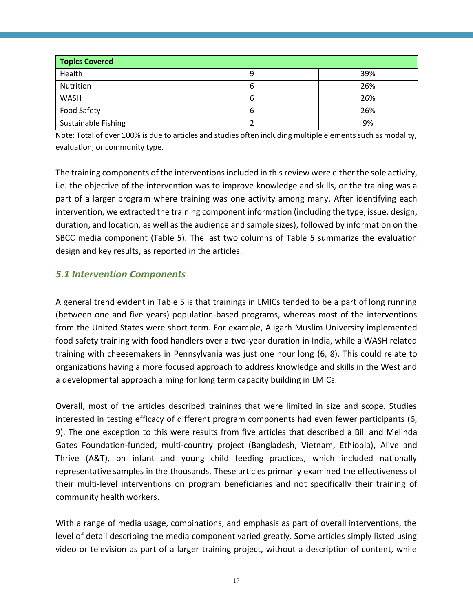| <b>Topics Covered</b> |   |     |  |  |  |  |  |
|-----------------------|---|-----|--|--|--|--|--|
| Health                |   | 39% |  |  |  |  |  |
| Nutrition             | о | 26% |  |  |  |  |  |
| <b>WASH</b>           | ь | 26% |  |  |  |  |  |
| Food Safety           | o | 26% |  |  |  |  |  |
| Sustainable Fishing   |   | 9%  |  |  |  |  |  |

Note: Total of over 100% is due to articles and studies often including multiple elements such as modality, evaluation, or community type.

The training components of the interventions included in this review were either the sole activity, i.e. the objective of the intervention was to improve knowledge and skills, or the training was a part of a larger program where training was one activity among many. After identifying each intervention, we extracted the training component information (including the type, issue, design, duration, and location, as well as the audience and sample sizes), followed by information on the SBCC media component (Table 5). The last two columns of Table 5 summarize the evaluation design and key results, as reported in the articles.

## <span id="page-16-0"></span>*5.1 Intervention Components*

A general trend evident in Table 5 is that trainings in LMICs tended to be a part of long running (between one and five years) population-based programs, whereas most of the interventions from the United States were short term. For example, Aligarh Muslim University implemented food safety training with food handlers over a two-year duration in India, while a WASH related training with cheesemakers in Pennsylvania was just one hour long (6, 8). This could relate to organizations having a more focused approach to address knowledge and skills in the West and a developmental approach aiming for long term capacity building in LMICs.

Overall, most of the articles described trainings that were limited in size and scope. Studies interested in testing efficacy of different program components had even fewer participants (6, 9). The one exception to this were results from five articles that described a Bill and Melinda Gates Foundation-funded, multi-country project (Bangladesh, Vietnam, Ethiopia), Alive and Thrive (A&T), on infant and young child feeding practices, which included nationally representative samples in the thousands. These articles primarily examined the effectiveness of their multi-level interventions on program beneficiaries and not specifically their training of community health workers.

With a range of media usage, combinations, and emphasis as part of overall interventions, the level of detail describing the media component varied greatly. Some articles simply listed using video or television as part of a larger training project, without a description of content, while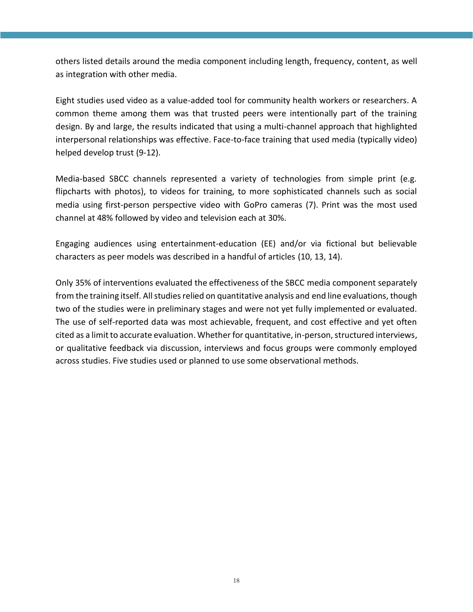others listed details around the media component including length, frequency, content, as well as integration with other media.

Eight studies used video as a value-added tool for community health workers or researchers. A common theme among them was that trusted peers were intentionally part of the training design. By and large, the results indicated that using a multi-channel approach that highlighted interpersonal relationships was effective. Face-to-face training that used media (typically video) helped develop trust (9-12).

Media-based SBCC channels represented a variety of technologies from simple print (e.g. flipcharts with photos), to videos for training, to more sophisticated channels such as social media using first-person perspective video with GoPro cameras (7). Print was the most used channel at 48% followed by video and television each at 30%.

Engaging audiences using entertainment-education (EE) and/or via fictional but believable characters as peer models was described in a handful of articles (10, 13, 14).

Only 35% of interventions evaluated the effectiveness of the SBCC media component separately from the training itself. All studies relied on quantitative analysis and end line evaluations, though two of the studies were in preliminary stages and were not yet fully implemented or evaluated. The use of self-reported data was most achievable, frequent, and cost effective and yet often cited as a limit to accurate evaluation. Whether for quantitative, in-person, structured interviews, or qualitative feedback via discussion, interviews and focus groups were commonly employed across studies. Five studies used or planned to use some observational methods.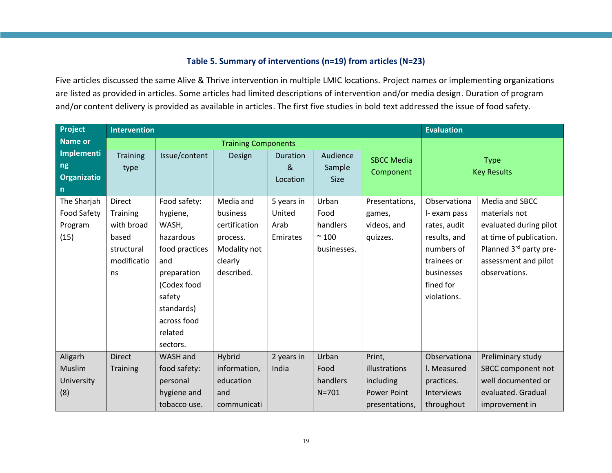#### **Table 5. Summary of interventions (n=19) from articles (N=23)**

Five articles discussed the same Alive & Thrive intervention in multiple LMIC locations. Project names or implementing organizations are listed as provided in articles. Some articles had limited descriptions of intervention and/or media design. Duration of program and/or content delivery is provided as available in articles. The first five studies in bold text addressed the issue of food safety.

<span id="page-18-0"></span>

| Project            | <b>Intervention</b> |                            |               |                |             |                   | <b>Evaluation</b> |                         |
|--------------------|---------------------|----------------------------|---------------|----------------|-------------|-------------------|-------------------|-------------------------|
| <b>Name or</b>     |                     | <b>Training Components</b> |               |                |             |                   |                   |                         |
| Implementi         | <b>Training</b>     | Issue/content              | Design        | Duration       | Audience    | <b>SBCC Media</b> |                   | <b>Type</b>             |
| ng                 | type                |                            |               | 8 <sub>l</sub> | Sample      | Component         |                   | <b>Key Results</b>      |
| Organizatio        |                     |                            |               | Location       | <b>Size</b> |                   |                   |                         |
| $\mathsf{n}$       |                     |                            |               |                |             |                   |                   |                         |
| The Sharjah        | Direct              | Food safety:               | Media and     | 5 years in     | Urban       | Presentations,    | Observationa      | Media and SBCC          |
| <b>Food Safety</b> | Training            | hygiene,                   | business      | United         | Food        | games,            | I- exam pass      | materials not           |
| Program            | with broad          | WASH,                      | certification | Arab           | handlers    | videos, and       | rates, audit      | evaluated during pilot  |
| (15)               | based               | hazardous                  | process.      | Emirates       | $\sim$ 100  | quizzes.          | results, and      | at time of publication. |
|                    | structural          | food practices             | Modality not  |                | businesses. |                   | numbers of        | Planned 3rd party pre-  |
|                    | modificatio         | and                        | clearly       |                |             |                   | trainees or       | assessment and pilot    |
|                    | ns                  | preparation                | described.    |                |             |                   | businesses        | observations.           |
|                    |                     | (Codex food                |               |                |             |                   | fined for         |                         |
|                    |                     | safety                     |               |                |             |                   | violations.       |                         |
|                    |                     | standards)                 |               |                |             |                   |                   |                         |
|                    |                     | across food                |               |                |             |                   |                   |                         |
|                    |                     | related                    |               |                |             |                   |                   |                         |
|                    |                     | sectors.                   |               |                |             |                   |                   |                         |
| Aligarh            | <b>Direct</b>       | WASH and                   | Hybrid        | 2 years in     | Urban       | Print,            | Observationa      | Preliminary study       |
| Muslim             | Training            | food safety:               | information,  | India          | Food        | illustrations     | I. Measured       | SBCC component not      |
| University         |                     | personal                   | education     |                | handlers    | including         | practices.        | well documented or      |
| (8)                |                     | hygiene and                | and           |                | $N = 701$   | Power Point       | Interviews        | evaluated. Gradual      |
|                    |                     | tobacco use.               | communicati   |                |             | presentations,    | throughout        | improvement in          |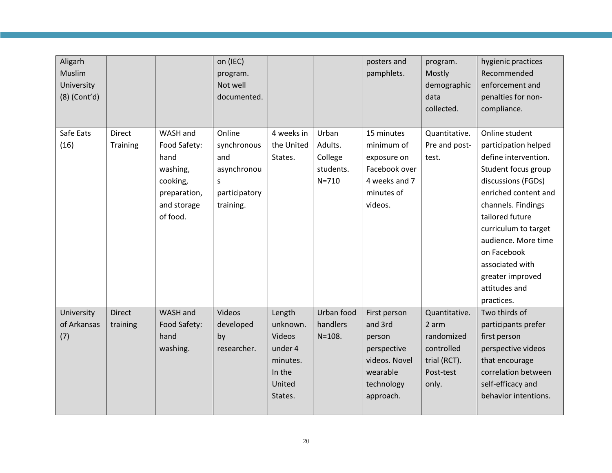| Aligarh<br>Muslim<br>University<br>$(8)$ (Cont'd) |                           |                                                                                         | on (IEC)<br>program.<br>Not well<br>documented.                      |                                                                                           |                                              | posters and<br>pamphlets.                                                                                | program.<br>Mostly<br>demographic<br>data<br>collected.                                  | hygienic practices<br>Recommended<br>enforcement and<br>penalties for non-<br>compliance.                                                                                                                                                                                                      |
|---------------------------------------------------|---------------------------|-----------------------------------------------------------------------------------------|----------------------------------------------------------------------|-------------------------------------------------------------------------------------------|----------------------------------------------|----------------------------------------------------------------------------------------------------------|------------------------------------------------------------------------------------------|------------------------------------------------------------------------------------------------------------------------------------------------------------------------------------------------------------------------------------------------------------------------------------------------|
| Safe Eats                                         | Direct                    | WASH and                                                                                | Online                                                               | 4 weeks in                                                                                | Urban                                        | 15 minutes                                                                                               | Quantitative.                                                                            | Online student                                                                                                                                                                                                                                                                                 |
| (16)                                              | Training                  | Food Safety:<br>hand<br>washing,<br>cooking,<br>preparation,<br>and storage<br>of food. | synchronous<br>and<br>asynchronou<br>s<br>participatory<br>training. | the United<br>States.                                                                     | Adults.<br>College<br>students.<br>$N = 710$ | minimum of<br>exposure on<br>Facebook over<br>4 weeks and 7<br>minutes of<br>videos.                     | Pre and post-<br>test.                                                                   | participation helped<br>define intervention.<br>Student focus group<br>discussions (FGDs)<br>enriched content and<br>channels. Findings<br>tailored future<br>curriculum to target<br>audience. More time<br>on Facebook<br>associated with<br>greater improved<br>attitudes and<br>practices. |
| University<br>of Arkansas<br>(7)                  | <b>Direct</b><br>training | WASH and<br>Food Safety:<br>hand<br>washing.                                            | Videos<br>developed<br>by<br>researcher.                             | Length<br>unknown.<br><b>Videos</b><br>under 4<br>minutes.<br>In the<br>United<br>States. | Urban food<br>handlers<br>$N = 108.$         | First person<br>and 3rd<br>person<br>perspective<br>videos. Novel<br>wearable<br>technology<br>approach. | Quantitative.<br>2 arm<br>randomized<br>controlled<br>trial (RCT).<br>Post-test<br>only. | Two thirds of<br>participants prefer<br>first person<br>perspective videos<br>that encourage<br>correlation between<br>self-efficacy and<br>behavior intentions.                                                                                                                               |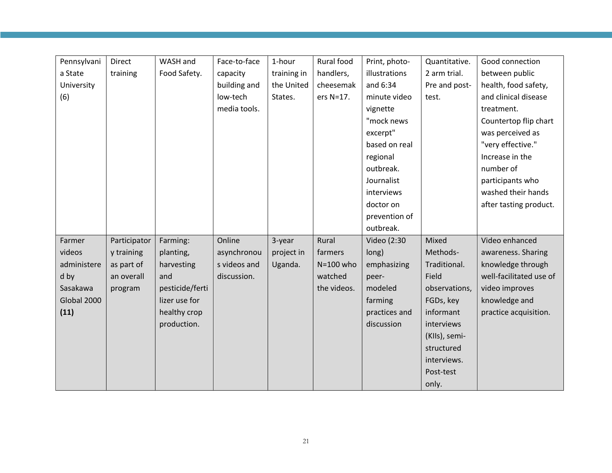| Pennsylvani | Direct       | WASH and        | Face-to-face | 1-hour      | Rural food  | Print, photo- | Quantitative. | Good connection         |
|-------------|--------------|-----------------|--------------|-------------|-------------|---------------|---------------|-------------------------|
| a State     | training     | Food Safety.    | capacity     | training in | handlers,   | illustrations | 2 arm trial.  | between public          |
| University  |              |                 | building and | the United  | cheesemak   | and 6:34      | Pre and post- | health, food safety,    |
| (6)         |              |                 | low-tech     | States.     | ers N=17.   | minute video  | test.         | and clinical disease    |
|             |              |                 | media tools. |             |             | vignette      |               | treatment.              |
|             |              |                 |              |             |             | "mock news    |               | Countertop flip chart   |
|             |              |                 |              |             |             | excerpt"      |               | was perceived as        |
|             |              |                 |              |             |             | based on real |               | "very effective."       |
|             |              |                 |              |             |             | regional      |               | Increase in the         |
|             |              |                 |              |             |             | outbreak.     |               | number of               |
|             |              |                 |              |             |             | Journalist    |               | participants who        |
|             |              |                 |              |             |             | interviews    |               | washed their hands      |
|             |              |                 |              |             |             | doctor on     |               | after tasting product.  |
|             |              |                 |              |             |             | prevention of |               |                         |
|             |              |                 |              |             |             | outbreak.     |               |                         |
| Farmer      | Participator | Farming:        | Online       | 3-year      | Rural       | Video (2:30   | Mixed         | Video enhanced          |
| videos      | y training   | planting,       | asynchronou  | project in  | farmers     | long)         | Methods-      | awareness. Sharing      |
| administere | as part of   | harvesting      | s videos and | Uganda.     | N=100 who   | emphasizing   | Traditional.  | knowledge through       |
| d by        | an overall   | and             | discussion.  |             | watched     | peer-         | Field         | well-facilitated use of |
| Sasakawa    | program      | pesticide/ferti |              |             | the videos. | modeled       | observations, | video improves          |
| Global 2000 |              | lizer use for   |              |             |             | farming       | FGDs, key     | knowledge and           |
| (11)        |              | healthy crop    |              |             |             | practices and | informant     | practice acquisition.   |
|             |              | production.     |              |             |             | discussion    | interviews    |                         |
|             |              |                 |              |             |             |               | (KIIs), semi- |                         |
|             |              |                 |              |             |             |               | structured    |                         |
|             |              |                 |              |             |             |               | interviews.   |                         |
|             |              |                 |              |             |             |               | Post-test     |                         |
|             |              |                 |              |             |             |               | only.         |                         |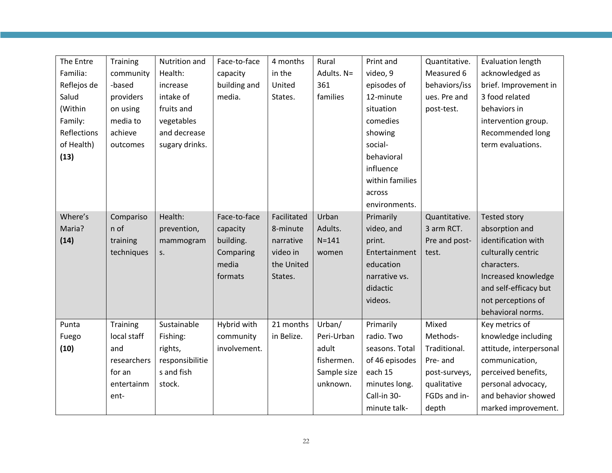| The Entre   | Training    | Nutrition and   | Face-to-face | 4 months    | Rural       | Print and       | Quantitative. | <b>Evaluation length</b> |
|-------------|-------------|-----------------|--------------|-------------|-------------|-----------------|---------------|--------------------------|
| Familia:    | community   | Health:         | capacity     | in the      | Adults. N=  | video, 9        | Measured 6    | acknowledged as          |
| Reflejos de | -based      | increase        | building and | United      | 361         | episodes of     | behaviors/iss | brief. Improvement in    |
| Salud       | providers   | intake of       | media.       | States.     | families    | 12-minute       | ues. Pre and  | 3 food related           |
| (Within     | on using    | fruits and      |              |             |             | situation       | post-test.    | behaviors in             |
| Family:     | media to    | vegetables      |              |             |             | comedies        |               | intervention group.      |
| Reflections | achieve     | and decrease    |              |             |             | showing         |               | Recommended long         |
| of Health)  | outcomes    | sugary drinks.  |              |             |             | social-         |               | term evaluations.        |
| (13)        |             |                 |              |             |             | behavioral      |               |                          |
|             |             |                 |              |             |             | influence       |               |                          |
|             |             |                 |              |             |             | within families |               |                          |
|             |             |                 |              |             |             | across          |               |                          |
|             |             |                 |              |             |             | environments.   |               |                          |
| Where's     | Compariso   | Health:         | Face-to-face | Facilitated | Urban       | Primarily       | Quantitative. | <b>Tested story</b>      |
| Maria?      | n of        | prevention,     | capacity     | 8-minute    | Adults.     | video, and      | 3 arm RCT.    | absorption and           |
| (14)        | training    | mammogram       | building.    | narrative   | $N = 141$   | print.          | Pre and post- | identification with      |
|             | techniques  | S.              | Comparing    | video in    | women       | Entertainment   | test.         | culturally centric       |
|             |             |                 | media        | the United  |             | education       |               | characters.              |
|             |             |                 | formats      | States.     |             | narrative vs.   |               | Increased knowledge      |
|             |             |                 |              |             |             | didactic        |               | and self-efficacy but    |
|             |             |                 |              |             |             | videos.         |               | not perceptions of       |
|             |             |                 |              |             |             |                 |               | behavioral norms.        |
| Punta       | Training    | Sustainable     | Hybrid with  | 21 months   | Urban/      | Primarily       | Mixed         | Key metrics of           |
| Fuego       | local staff | Fishing:        | community    | in Belize.  | Peri-Urban  | radio. Two      | Methods-      | knowledge including      |
| (10)        | and         | rights,         | involvement. |             | adult       | seasons. Total  | Traditional.  | attitude, interpersonal  |
|             | researchers | responsibilitie |              |             | fishermen.  | of 46 episodes  | Pre- and      | communication,           |
|             | for an      | s and fish      |              |             | Sample size | each 15         | post-surveys, | perceived benefits,      |
|             | entertainm  | stock.          |              |             | unknown.    | minutes long.   | qualitative   | personal advocacy,       |
|             | ent-        |                 |              |             |             | Call-in 30-     | FGDs and in-  | and behavior showed      |
|             |             |                 |              |             |             | minute talk-    | depth         | marked improvement.      |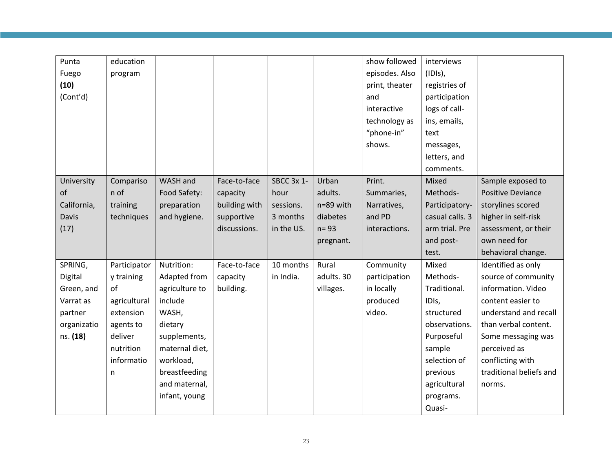| Punta        | education    |                |               |            |            | show followed  | interviews      |                          |
|--------------|--------------|----------------|---------------|------------|------------|----------------|-----------------|--------------------------|
| Fuego        | program      |                |               |            |            | episodes. Also | $(IDIs)$ ,      |                          |
| (10)         |              |                |               |            |            | print, theater | registries of   |                          |
| (Cont'd)     |              |                |               |            |            | and            | participation   |                          |
|              |              |                |               |            |            | interactive    | logs of call-   |                          |
|              |              |                |               |            |            | technology as  | ins, emails,    |                          |
|              |              |                |               |            |            | "phone-in"     | text            |                          |
|              |              |                |               |            |            | shows.         | messages,       |                          |
|              |              |                |               |            |            |                | letters, and    |                          |
|              |              |                |               |            |            |                | comments.       |                          |
| University   | Compariso    | WASH and       | Face-to-face  | SBCC 3x 1- | Urban      | Print.         | Mixed           | Sample exposed to        |
| of           | n of         | Food Safety:   | capacity      | hour       | adults.    | Summaries,     | Methods-        | <b>Positive Deviance</b> |
| California,  | training     | preparation    | building with | sessions.  | n=89 with  | Narratives,    | Participatory-  | storylines scored        |
| <b>Davis</b> | techniques   | and hygiene.   | supportive    | 3 months   | diabetes   | and PD         | casual calls. 3 | higher in self-risk      |
| (17)         |              |                | discussions.  | in the US. | $n = 93$   | interactions.  | arm trial. Pre  | assessment, or their     |
|              |              |                |               |            | pregnant.  |                | and post-       | own need for             |
|              |              |                |               |            |            |                | test.           | behavioral change.       |
| SPRING,      | Participator | Nutrition:     | Face-to-face  | 10 months  | Rural      | Community      | Mixed           | Identified as only       |
| Digital      | y training   | Adapted from   | capacity      | in India.  | adults. 30 | participation  | Methods-        | source of community      |
| Green, and   | of           | agriculture to | building.     |            | villages.  | in locally     | Traditional.    | information. Video       |
| Varrat as    | agricultural | include        |               |            |            | produced       | IDIs,           | content easier to        |
| partner      | extension    | WASH,          |               |            |            | video.         | structured      | understand and recall    |
| organizatio  | agents to    | dietary        |               |            |            |                | observations.   | than verbal content.     |
| ns. (18)     | deliver      | supplements,   |               |            |            |                | Purposeful      | Some messaging was       |
|              | nutrition    | maternal diet, |               |            |            |                | sample          | perceived as             |
|              | informatio   | workload,      |               |            |            |                | selection of    | conflicting with         |
|              | n            | breastfeeding  |               |            |            |                | previous        | traditional beliefs and  |
|              |              | and maternal,  |               |            |            |                | agricultural    | norms.                   |
|              |              | infant, young  |               |            |            |                | programs.       |                          |
|              |              |                |               |            |            |                | Quasi-          |                          |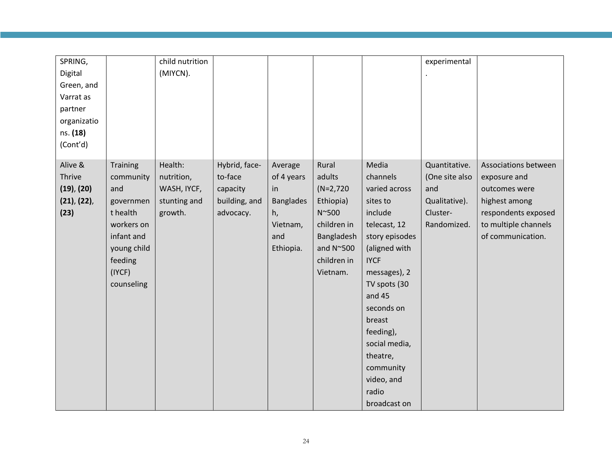| SPRING,           |                 | child nutrition |               |                  |                   |                | experimental   |                      |
|-------------------|-----------------|-----------------|---------------|------------------|-------------------|----------------|----------------|----------------------|
| Digital           |                 | (MIYCN).        |               |                  |                   |                |                |                      |
| Green, and        |                 |                 |               |                  |                   |                |                |                      |
| Varrat as         |                 |                 |               |                  |                   |                |                |                      |
| partner           |                 |                 |               |                  |                   |                |                |                      |
| organizatio       |                 |                 |               |                  |                   |                |                |                      |
| ns. (18)          |                 |                 |               |                  |                   |                |                |                      |
| (Cont'd)          |                 |                 |               |                  |                   |                |                |                      |
|                   |                 |                 |               |                  |                   |                |                |                      |
| Alive &           | <b>Training</b> | Health:         | Hybrid, face- | Average          | Rural             | Media          | Quantitative.  | Associations between |
| <b>Thrive</b>     | community       | nutrition,      | to-face       | of 4 years       | adults            | channels       | (One site also | exposure and         |
| $(19)$ , $(20)$   | and             | WASH, IYCF,     | capacity      | in               | $(N=2,720)$       | varied across  | and            | outcomes were        |
| $(21)$ , $(22)$ , | governmen       | stunting and    | building, and | <b>Banglades</b> | Ethiopia)         | sites to       | Qualitative).  | highest among        |
| (23)              | t health        | growth.         | advocacy.     | h,               | N~500             | include        | Cluster-       | respondents exposed  |
|                   | workers on      |                 |               | Vietnam,         | children in       | telecast, 12   | Randomized.    | to multiple channels |
|                   | infant and      |                 |               | and              | Bangladesh        | story episodes |                | of communication.    |
|                   | young child     |                 |               | Ethiopia.        | and $N^{\sim}500$ | (aligned with  |                |                      |
|                   | feeding         |                 |               |                  | children in       | <b>IYCF</b>    |                |                      |
|                   | (IYCF)          |                 |               |                  | Vietnam.          | messages), 2   |                |                      |
|                   | counseling      |                 |               |                  |                   | TV spots (30   |                |                      |
|                   |                 |                 |               |                  |                   | and $45$       |                |                      |
|                   |                 |                 |               |                  |                   | seconds on     |                |                      |
|                   |                 |                 |               |                  |                   | breast         |                |                      |
|                   |                 |                 |               |                  |                   | feeding),      |                |                      |
|                   |                 |                 |               |                  |                   | social media,  |                |                      |
|                   |                 |                 |               |                  |                   | theatre,       |                |                      |
|                   |                 |                 |               |                  |                   | community      |                |                      |
|                   |                 |                 |               |                  |                   | video, and     |                |                      |
|                   |                 |                 |               |                  |                   | radio          |                |                      |
|                   |                 |                 |               |                  |                   | broadcast on   |                |                      |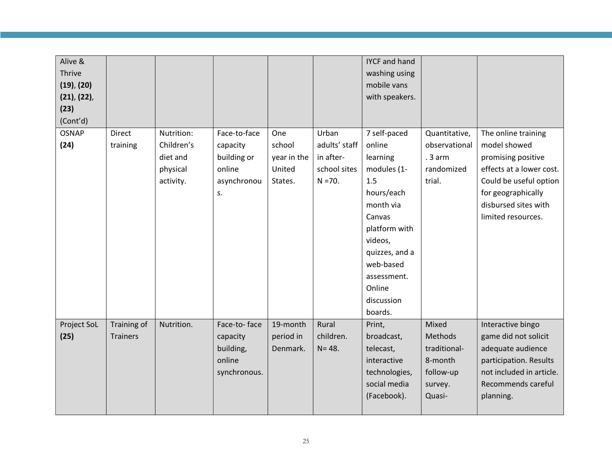| Alive &<br>Thrive<br>$(19)$ , $(20)$<br>$(21)$ , $(22)$ ,<br>(23)<br>(Cont'd) |                 |            |              |             |               | <b>IYCF and hand</b><br>washing using<br>mobile vans<br>with speakers. |                   |                                                    |
|-------------------------------------------------------------------------------|-----------------|------------|--------------|-------------|---------------|------------------------------------------------------------------------|-------------------|----------------------------------------------------|
| <b>OSNAP</b>                                                                  | Direct          | Nutrition: | Face-to-face | One         | Urban         | 7 self-paced                                                           | Quantitative,     | The online training                                |
| (24)                                                                          | training        | Children's | capacity     | school      | adults' staff | online                                                                 | observational     | model showed                                       |
|                                                                               |                 | diet and   | building or  | year in the | in after-     | learning                                                               | $.3$ arm          | promising positive                                 |
|                                                                               |                 | physical   | online       | United      | school sites  | modules (1-                                                            | randomized        | effects at a lower cost.                           |
|                                                                               |                 | activity.  | asynchronou  | States.     | $N = 70.$     | 1.5                                                                    | trial.            | Could be useful option                             |
|                                                                               |                 |            | S.           |             |               | hours/each                                                             |                   | for geographically                                 |
|                                                                               |                 |            |              |             |               | month via                                                              |                   | disbursed sites with                               |
|                                                                               |                 |            |              |             |               | Canvas                                                                 |                   | limited resources.                                 |
|                                                                               |                 |            |              |             |               | platform with                                                          |                   |                                                    |
|                                                                               |                 |            |              |             |               | videos,                                                                |                   |                                                    |
|                                                                               |                 |            |              |             |               | quizzes, and a                                                         |                   |                                                    |
|                                                                               |                 |            |              |             |               | web-based                                                              |                   |                                                    |
|                                                                               |                 |            |              |             |               | assessment.                                                            |                   |                                                    |
|                                                                               |                 |            |              |             |               | Online                                                                 |                   |                                                    |
|                                                                               |                 |            |              |             |               | discussion                                                             |                   |                                                    |
|                                                                               |                 |            |              |             |               | boards.                                                                |                   |                                                    |
| Project SoL                                                                   | Training of     | Nutrition. | Face-to-face | 19-month    | Rural         | Print,                                                                 | Mixed             | Interactive bingo                                  |
| (25)                                                                          | <b>Trainers</b> |            | capacity     | period in   | children.     | broadcast,                                                             | Methods           | game did not solicit                               |
|                                                                               |                 |            | building,    | Denmark.    | $N = 48.$     | telecast,                                                              | traditional-      | adequate audience                                  |
|                                                                               |                 |            | online       |             |               | interactive                                                            | 8-month           | participation. Results<br>not included in article. |
|                                                                               |                 |            | synchronous. |             |               | technologies,<br>social media                                          | follow-up         | Recommends careful                                 |
|                                                                               |                 |            |              |             |               | (Facebook).                                                            | survey.<br>Quasi- |                                                    |
|                                                                               |                 |            |              |             |               |                                                                        |                   | planning.                                          |
|                                                                               |                 |            |              |             |               |                                                                        |                   |                                                    |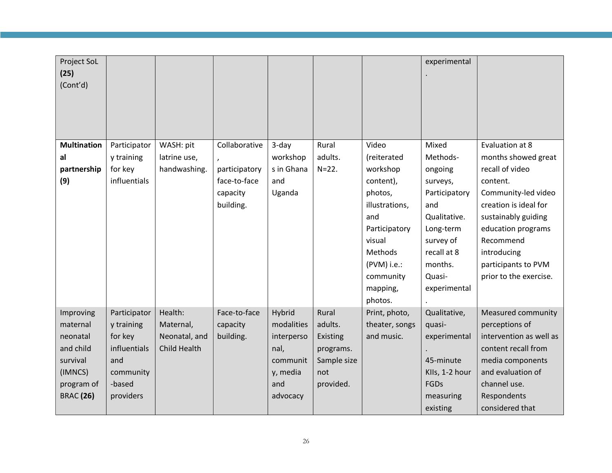| Project SoL<br>(25)<br>(Cont'd) |              |               |               |            |             |                | experimental   |                         |
|---------------------------------|--------------|---------------|---------------|------------|-------------|----------------|----------------|-------------------------|
| <b>Multination</b>              | Participator | WASH: pit     | Collaborative | 3-day      | Rural       | Video          | Mixed          | Evaluation at 8         |
| al                              | y training   | latrine use,  |               | workshop   | adults.     | (reiterated    | Methods-       | months showed great     |
| partnership                     | for key      | handwashing.  | participatory | s in Ghana | $N = 22.$   | workshop       | ongoing        | recall of video         |
| (9)                             | influentials |               | face-to-face  | and        |             | content),      | surveys,       | content.                |
|                                 |              |               | capacity      | Uganda     |             | photos,        | Participatory  | Community-led video     |
|                                 |              |               | building.     |            |             | illustrations, | and            | creation is ideal for   |
|                                 |              |               |               |            |             | and            | Qualitative.   | sustainably guiding     |
|                                 |              |               |               |            |             | Participatory  | Long-term      | education programs      |
|                                 |              |               |               |            |             | visual         | survey of      | Recommend               |
|                                 |              |               |               |            |             | Methods        | recall at 8    | introducing             |
|                                 |              |               |               |            |             | $(PVM)$ i.e.:  | months.        | participants to PVM     |
|                                 |              |               |               |            |             | community      | Quasi-         | prior to the exercise.  |
|                                 |              |               |               |            |             | mapping,       | experimental   |                         |
|                                 |              |               |               |            |             | photos.        |                |                         |
| Improving                       | Participator | Health:       | Face-to-face  | Hybrid     | Rural       | Print, photo,  | Qualitative,   | Measured community      |
| maternal                        | y training   | Maternal,     | capacity      | modalities | adults.     | theater, songs | quasi-         | perceptions of          |
| neonatal                        | for key      | Neonatal, and | building.     | interperso | Existing    | and music.     | experimental   | intervention as well as |
| and child                       | influentials | Child Health  |               | nal,       | programs.   |                |                | content recall from     |
| survival                        | and          |               |               | communit   | Sample size |                | 45-minute      | media components        |
| (IMNCS)                         | community    |               |               | y, media   | not         |                | Klls, 1-2 hour | and evaluation of       |
| program of                      | -based       |               |               | and        | provided.   |                | FGDs           | channel use.            |
| <b>BRAC</b> (26)                | providers    |               |               | advocacy   |             |                | measuring      | Respondents             |
|                                 |              |               |               |            |             |                | existing       | considered that         |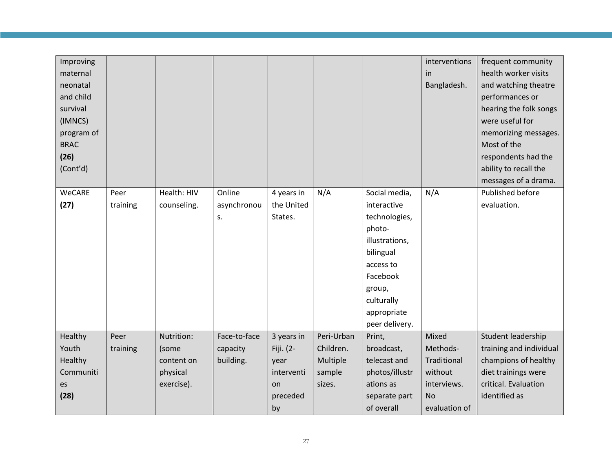| Improving<br>maternal<br>neonatal<br>and child<br>survival<br>(IMNCS)<br>program of |          |             |              |            |            |                               | interventions<br>in<br>Bangladesh. | frequent community<br>health worker visits<br>and watching theatre<br>performances or<br>hearing the folk songs<br>were useful for<br>memorizing messages. |
|-------------------------------------------------------------------------------------|----------|-------------|--------------|------------|------------|-------------------------------|------------------------------------|------------------------------------------------------------------------------------------------------------------------------------------------------------|
| <b>BRAC</b><br>(26)                                                                 |          |             |              |            |            |                               |                                    | Most of the<br>respondents had the                                                                                                                         |
| (Cont'd)                                                                            |          |             |              |            |            |                               |                                    | ability to recall the                                                                                                                                      |
|                                                                                     |          |             |              |            |            |                               |                                    | messages of a drama.                                                                                                                                       |
| WeCARE                                                                              | Peer     | Health: HIV | Online       | 4 years in | N/A        | Social media,                 | N/A                                | Published before                                                                                                                                           |
| (27)                                                                                | training | counseling. | asynchronou  | the United |            | interactive                   |                                    | evaluation.                                                                                                                                                |
|                                                                                     |          |             | s.           | States.    |            | technologies,                 |                                    |                                                                                                                                                            |
|                                                                                     |          |             |              |            |            | photo-                        |                                    |                                                                                                                                                            |
|                                                                                     |          |             |              |            |            | illustrations,                |                                    |                                                                                                                                                            |
|                                                                                     |          |             |              |            |            | bilingual                     |                                    |                                                                                                                                                            |
|                                                                                     |          |             |              |            |            | access to                     |                                    |                                                                                                                                                            |
|                                                                                     |          |             |              |            |            | Facebook                      |                                    |                                                                                                                                                            |
|                                                                                     |          |             |              |            |            | group,                        |                                    |                                                                                                                                                            |
|                                                                                     |          |             |              |            |            | culturally                    |                                    |                                                                                                                                                            |
|                                                                                     |          |             |              |            |            | appropriate<br>peer delivery. |                                    |                                                                                                                                                            |
| Healthy                                                                             | Peer     | Nutrition:  | Face-to-face | 3 years in | Peri-Urban | Print,                        | Mixed                              | Student leadership                                                                                                                                         |
| Youth                                                                               | training | (some       | capacity     | Fiji. (2-  | Children.  | broadcast,                    | Methods-                           | training and individual                                                                                                                                    |
| Healthy                                                                             |          | content on  | building.    | year       | Multiple   | telecast and                  | Traditional                        | champions of healthy                                                                                                                                       |
| Communiti                                                                           |          | physical    |              | interventi | sample     | photos/illustr                | without                            | diet trainings were                                                                                                                                        |
| es                                                                                  |          | exercise).  |              | <b>on</b>  | sizes.     | ations as                     | interviews.                        | critical. Evaluation                                                                                                                                       |
| (28)                                                                                |          |             |              | preceded   |            | separate part                 | <b>No</b>                          | identified as                                                                                                                                              |
|                                                                                     |          |             |              | by         |            | of overall                    | evaluation of                      |                                                                                                                                                            |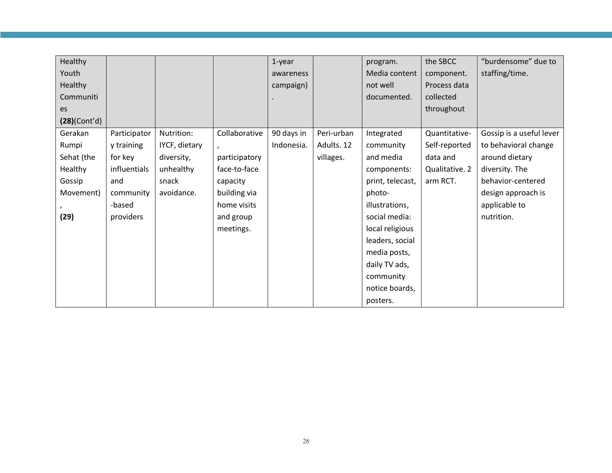| Healthy      |              |               |               | $1$ -year  |            | program.         | the SBCC       | "burdensome" due to      |
|--------------|--------------|---------------|---------------|------------|------------|------------------|----------------|--------------------------|
| Youth        |              |               |               | awareness  |            | Media content    | component.     | staffing/time.           |
| Healthy      |              |               |               | campaign)  |            | not well         | Process data   |                          |
| Communiti    |              |               |               |            |            | documented.      | collected      |                          |
| es           |              |               |               |            |            |                  | throughout     |                          |
| (28)(Cont'd) |              |               |               |            |            |                  |                |                          |
| Gerakan      | Participator | Nutrition:    | Collaborative | 90 days in | Peri-urban | Integrated       | Quantitative-  | Gossip is a useful lever |
| Rumpi        | y training   | IYCF, dietary |               | Indonesia. | Adults. 12 | community        | Self-reported  | to behavioral change     |
| Sehat (the   | for key      | diversity,    | participatory |            | villages.  | and media        | data and       | around dietary           |
| Healthy      | influentials | unhealthy     | face-to-face  |            |            | components:      | Qualitative. 2 | diversity. The           |
| Gossip       | and          | snack         | capacity      |            |            | print, telecast, | arm RCT.       | behavior-centered        |
| Movement)    | community    | avoidance.    | building via  |            |            | photo-           |                | design approach is       |
|              | -based       |               | home visits   |            |            | illustrations,   |                | applicable to            |
| (29)         | providers    |               | and group     |            |            | social media:    |                | nutrition.               |
|              |              |               | meetings.     |            |            | local religious  |                |                          |
|              |              |               |               |            |            | leaders, social  |                |                          |
|              |              |               |               |            |            | media posts,     |                |                          |
|              |              |               |               |            |            | daily TV ads,    |                |                          |
|              |              |               |               |            |            | community        |                |                          |
|              |              |               |               |            |            | notice boards,   |                |                          |
|              |              |               |               |            |            | posters.         |                |                          |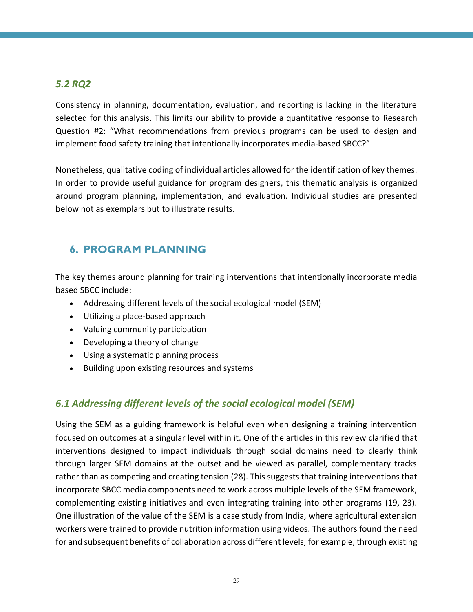## <span id="page-28-0"></span>*5.2 RQ2*

Consistency in planning, documentation, evaluation, and reporting is lacking in the literature selected for this analysis. This limits our ability to provide a quantitative response to Research Question #2: "What recommendations from previous programs can be used to design and implement food safety training that intentionally incorporates media-based SBCC?"

Nonetheless, qualitative coding of individual articles allowed for the identification of key themes. In order to provide useful guidance for program designers, this thematic analysis is organized around program planning, implementation, and evaluation. Individual studies are presented below not as exemplars but to illustrate results.

## <span id="page-28-1"></span>**6. PROGRAM PLANNING**

The key themes around planning for training interventions that intentionally incorporate media based SBCC include:

- Addressing different levels of the social ecological model (SEM)
- Utilizing a place-based approach
- Valuing community participation
- Developing a theory of change
- Using a systematic planning process
- Building upon existing resources and systems

## <span id="page-28-2"></span>*6.1 Addressing different levels of the social ecological model (SEM)*

Using the SEM as a guiding framework is helpful even when designing a training intervention focused on outcomes at a singular level within it. One of the articles in this review clarified that interventions designed to impact individuals through social domains need to clearly think through larger SEM domains at the outset and be viewed as parallel, complementary tracks rather than as competing and creating tension (28). This suggests that training interventions that incorporate SBCC media components need to work across multiple levels of the SEM framework, complementing existing initiatives and even integrating training into other programs (19, 23). One illustration of the value of the SEM is a case study from India, where agricultural extension workers were trained to provide nutrition information using videos. The authors found the need for and subsequent benefits of collaboration across different levels, for example, through existing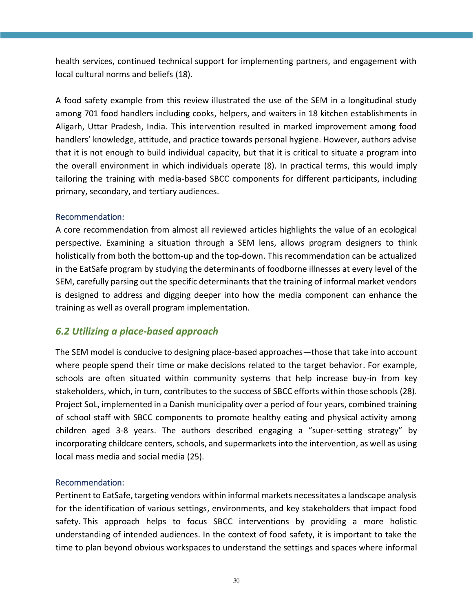health services, continued technical support for implementing partners, and engagement with local cultural norms and beliefs (18).

A food safety example from this review illustrated the use of the SEM in a longitudinal study among 701 food handlers including cooks, helpers, and waiters in 18 kitchen establishments in Aligarh, Uttar Pradesh, India. This intervention resulted in marked improvement among food handlers' knowledge, attitude, and practice towards personal hygiene. However, authors advise that it is not enough to build individual capacity, but that it is critical to situate a program into the overall environment in which individuals operate (8). In practical terms, this would imply tailoring the training with media-based SBCC components for different participants, including primary, secondary, and tertiary audiences.

#### Recommendation:

A core recommendation from almost all reviewed articles highlights the value of an ecological perspective. Examining a situation through a SEM lens, allows program designers to think holistically from both the bottom-up and the top-down. This recommendation can be actualized in the EatSafe program by studying the determinants of foodborne illnesses at every level of the SEM, carefully parsing out the specific determinants that the training of informal market vendors is designed to address and digging deeper into how the media component can enhance the training as well as overall program implementation.

#### <span id="page-29-0"></span>*6.2 Utilizing a place-based approach*

The SEM model is conducive to designing place-based approaches—those that take into account where people spend their time or make decisions related to the target behavior. For example, schools are often situated within community systems that help increase buy-in from key stakeholders, which, in turn, contributes to the success of SBCC efforts within those schools (28). Project SoL, implemented in a Danish municipality over a period of four years, combined training of school staff with SBCC components to promote healthy eating and physical activity among children aged 3-8 years. The authors described engaging a "super-setting strategy" by incorporating childcare centers, schools, and supermarkets into the intervention, as well as using local mass media and social media (25).

#### Recommendation:

Pertinent to EatSafe, targeting vendors within informal markets necessitates a landscape analysis for the identification of various settings, environments, and key stakeholders that impact food safety. This approach helps to focus SBCC interventions by providing a more holistic understanding of intended audiences. In the context of food safety, it is important to take the time to plan beyond obvious workspaces to understand the settings and spaces where informal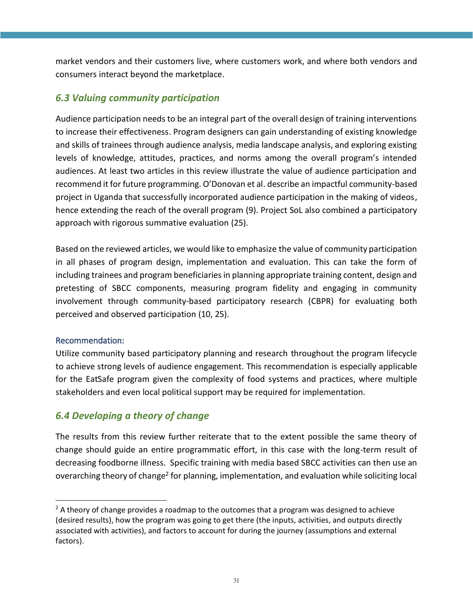market vendors and their customers live, where customers work, and where both vendors and consumers interact beyond the marketplace.

## <span id="page-30-0"></span>*6.3 Valuing community participation*

Audience participation needs to be an integral part of the overall design of training interventions to increase their effectiveness. Program designers can gain understanding of existing knowledge and skills of trainees through audience analysis, media landscape analysis, and exploring existing levels of knowledge, attitudes, practices, and norms among the overall program's intended audiences. At least two articles in this review illustrate the value of audience participation and recommend it for future programming. O'Donovan et al. describe an impactful community-based project in Uganda that successfully incorporated audience participation in the making of videos, hence extending the reach of the overall program (9). Project SoL also combined a participatory approach with rigorous summative evaluation (25).

Based on the reviewed articles, we would like to emphasize the value of community participation in all phases of program design, implementation and evaluation. This can take the form of including trainees and program beneficiaries in planning appropriate training content, design and pretesting of SBCC components, measuring program fidelity and engaging in community involvement through community-based participatory research (CBPR) for evaluating both perceived and observed participation (10, 25).

#### Recommendation:

Utilize community based participatory planning and research throughout the program lifecycle to achieve strong levels of audience engagement. This recommendation is especially applicable for the EatSafe program given the complexity of food systems and practices, where multiple stakeholders and even local political support may be required for implementation.

## <span id="page-30-1"></span>*6.4 Developing a theory of change*

The results from this review further reiterate that to the extent possible the same theory of change should guide an entire programmatic effort, in this case with the long-term result of decreasing foodborne illness. Specific training with media based SBCC activities can then use an overarching theory of change<sup>2</sup> for planning, implementation, and evaluation while soliciting local

 $<sup>2</sup>$  A theory of change provides a roadmap to the outcomes that a program was designed to achieve</sup> (desired results), how the program was going to get there (the inputs, activities, and outputs directly associated with activities), and factors to account for during the journey (assumptions and external factors).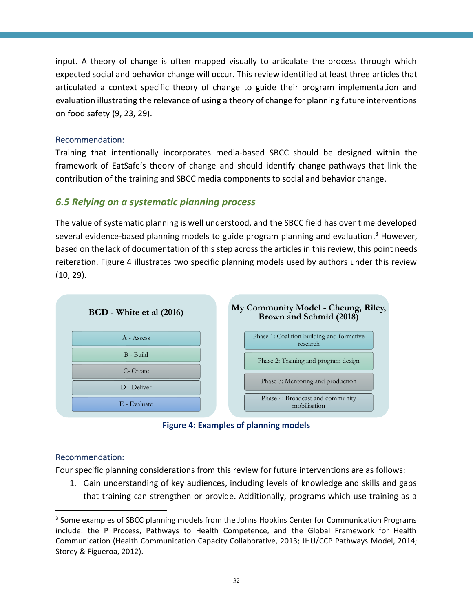input. A theory of change is often mapped visually to articulate the process through which expected social and behavior change will occur. This review identified at least three articles that articulated a context specific theory of change to guide their program implementation and evaluation illustrating the relevance of using a theory of change for planning future interventions on food safety (9, 23, 29).

#### Recommendation:

Training that intentionally incorporates media-based SBCC should be designed within the framework of EatSafe's theory of change and should identify change pathways that link the contribution of the training and SBCC media components to social and behavior change.

## <span id="page-31-0"></span>*6.5 Relying on a systematic planning process*

The value of systematic planning is well understood, and the SBCC field has over time developed several evidence-based planning models to guide program planning and evaluation.<sup>3</sup> However, based on the lack of documentation of this step across the articles in this review, this point needs reiteration. Figure 4 illustrates two specific planning models used by authors under this review (10, 29).



**Figure 4: Examples of planning models**

#### <span id="page-31-1"></span>Recommendation:

Four specific planning considerations from this review for future interventions are as follows:

1. Gain understanding of key audiences, including levels of knowledge and skills and gaps that training can strengthen or provide. Additionally, programs which use training as a

<sup>&</sup>lt;sup>3</sup> Some examples of SBCC planning models from the Johns Hopkins Center for Communication Programs include: the P Process, Pathways to Health Competence, and the Global Framework for Health Communication (Health Communication Capacity Collaborative, 2013; JHU/CCP Pathways Model, 2014; Storey & Figueroa, 2012).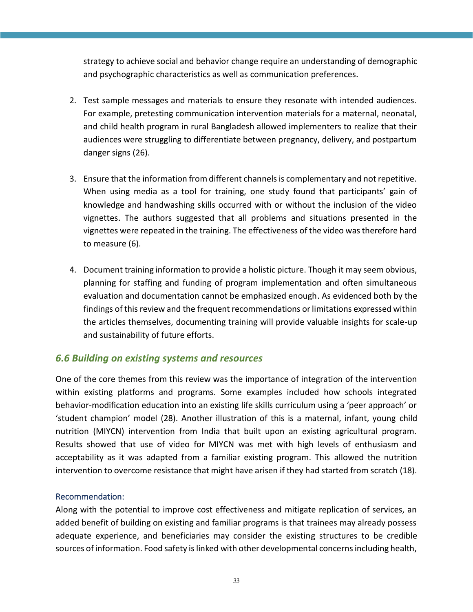strategy to achieve social and behavior change require an understanding of demographic and psychographic characteristics as well as communication preferences.

- 2. Test sample messages and materials to ensure they resonate with intended audiences. For example, pretesting communication intervention materials for a maternal, neonatal, and child health program in rural Bangladesh allowed implementers to realize that their audiences were struggling to differentiate between pregnancy, delivery, and postpartum danger signs (26).
- 3. Ensure that the information from different channels is complementary and not repetitive. When using media as a tool for training, one study found that participants' gain of knowledge and handwashing skills occurred with or without the inclusion of the video vignettes. The authors suggested that all problems and situations presented in the vignettes were repeated in the training. The effectiveness of the video was therefore hard to measure (6).
- 4. Document training information to provide a holistic picture. Though it may seem obvious, planning for staffing and funding of program implementation and often simultaneous evaluation and documentation cannot be emphasized enough. As evidenced both by the findings of this review and the frequent recommendations or limitations expressed within the articles themselves, documenting training will provide valuable insights for scale-up and sustainability of future efforts.

## <span id="page-32-0"></span>*6.6 Building on existing systems and resources*

One of the core themes from this review was the importance of integration of the intervention within existing platforms and programs. Some examples included how schools integrated behavior-modification education into an existing life skills curriculum using a 'peer approach' or 'student champion' model (28). Another illustration of this is a maternal, infant, young child nutrition (MIYCN) intervention from India that built upon an existing agricultural program. Results showed that use of video for MIYCN was met with high levels of enthusiasm and acceptability as it was adapted from a familiar existing program. This allowed the nutrition intervention to overcome resistance that might have arisen if they had started from scratch (18).

#### Recommendation:

Along with the potential to improve cost effectiveness and mitigate replication of services, an added benefit of building on existing and familiar programs is that trainees may already possess adequate experience, and beneficiaries may consider the existing structures to be credible sources of information. Food safety is linked with other developmental concerns including health,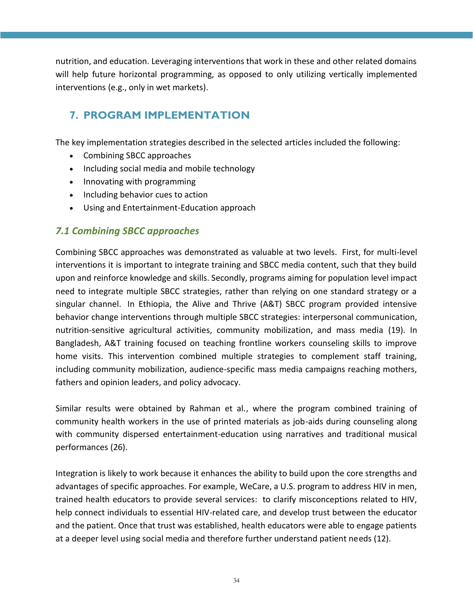nutrition, and education. Leveraging interventions that work in these and other related domains will help future horizontal programming, as opposed to only utilizing vertically implemented interventions (e.g., only in wet markets).

## <span id="page-33-0"></span>**7. PROGRAM IMPLEMENTATION**

The key implementation strategies described in the selected articles included the following:

- Combining SBCC approaches
- Including social media and mobile technology
- Innovating with programming
- Including behavior cues to action
- Using and Entertainment-Education approach

## <span id="page-33-1"></span>*7.1 Combining SBCC approaches*

Combining SBCC approaches was demonstrated as valuable at two levels. First, for multi-level interventions it is important to integrate training and SBCC media content, such that they build upon and reinforce knowledge and skills. Secondly, programs aiming for population level impact need to integrate multiple SBCC strategies, rather than relying on one standard strategy or a singular channel. In Ethiopia, the Alive and Thrive (A&T) SBCC program provided intensive behavior change interventions through multiple SBCC strategies: interpersonal communication, nutrition-sensitive agricultural activities, community mobilization, and mass media (19). In Bangladesh, A&T training focused on teaching frontline workers counseling skills to improve home visits. This intervention combined multiple strategies to complement staff training, including community mobilization, audience-specific mass media campaigns reaching mothers, fathers and opinion leaders, and policy advocacy.

Similar results were obtained by Rahman et al., where the program combined training of community health workers in the use of printed materials as job-aids during counseling along with community dispersed entertainment-education using narratives and traditional musical performances (26).

Integration is likely to work because it enhances the ability to build upon the core strengths and advantages of specific approaches. For example, WeCare, a U.S. program to address HIV in men, trained health educators to provide several services: to clarify misconceptions related to HIV, help connect individuals to essential HIV-related care, and develop trust between the educator and the patient. Once that trust was established, health educators were able to engage patients at a deeper level using social media and therefore further understand patient needs (12).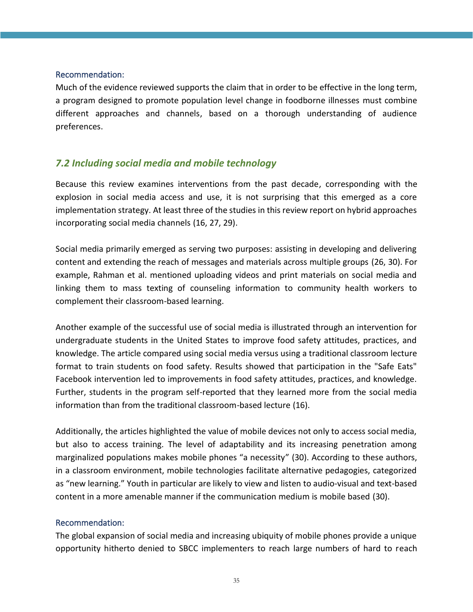#### Recommendation:

Much of the evidence reviewed supports the claim that in order to be effective in the long term, a program designed to promote population level change in foodborne illnesses must combine different approaches and channels, based on a thorough understanding of audience preferences.

## <span id="page-34-0"></span>*7.2 Including social media and mobile technology*

Because this review examines interventions from the past decade, corresponding with the explosion in social media access and use, it is not surprising that this emerged as a core implementation strategy. At least three of the studies in this review report on hybrid approaches incorporating social media channels (16, 27, 29).

Social media primarily emerged as serving two purposes: assisting in developing and delivering content and extending the reach of messages and materials across multiple groups (26, 30). For example, Rahman et al. mentioned uploading videos and print materials on social media and linking them to mass texting of counseling information to community health workers to complement their classroom-based learning.

Another example of the successful use of social media is illustrated through an intervention for undergraduate students in the United States to improve food safety attitudes, practices, and knowledge. The article compared using social media versus using a traditional classroom lecture format to train students on food safety. Results showed that participation in the "Safe Eats" Facebook intervention led to improvements in food safety attitudes, practices, and knowledge. Further, students in the program self-reported that they learned more from the social media information than from the traditional classroom-based lecture (16).

Additionally, the articles highlighted the value of mobile devices not only to access social media, but also to access training. The level of adaptability and its increasing penetration among marginalized populations makes mobile phones "a necessity" (30). According to these authors, in a classroom environment, mobile technologies facilitate alternative pedagogies, categorized as "new learning." Youth in particular are likely to view and listen to audio‐visual and text‐based content in a more amenable manner if the communication medium is mobile based (30).

#### Recommendation:

The global expansion of social media and increasing ubiquity of mobile phones provide a unique opportunity hitherto denied to SBCC implementers to reach large numbers of hard to reach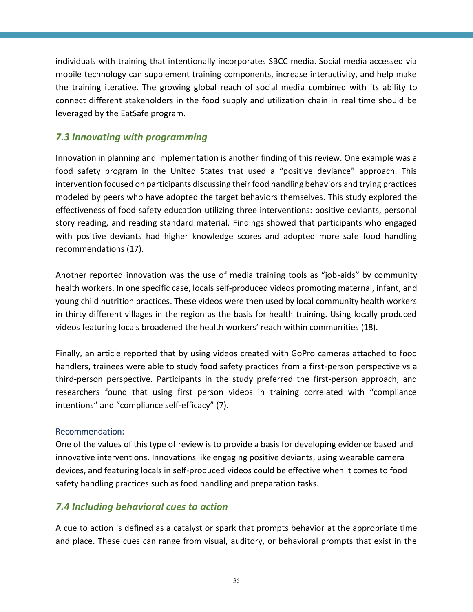individuals with training that intentionally incorporates SBCC media. Social media accessed via mobile technology can supplement training components, increase interactivity, and help make the training iterative. The growing global reach of social media combined with its ability to connect different stakeholders in the food supply and utilization chain in real time should be leveraged by the EatSafe program.

## <span id="page-35-0"></span>*7.3 Innovating with programming*

Innovation in planning and implementation is another finding of this review. One example was a food safety program in the United States that used a "positive deviance" approach. This intervention focused on participants discussing their food handling behaviors and trying practices modeled by peers who have adopted the target behaviors themselves. This study explored the effectiveness of food safety education utilizing three interventions: positive deviants, personal story reading, and reading standard material. Findings showed that participants who engaged with positive deviants had higher knowledge scores and adopted more safe food handling recommendations (17).

Another reported innovation was the use of media training tools as "job-aids" by community health workers. In one specific case, locals self-produced videos promoting maternal, infant, and young child nutrition practices. These videos were then used by local community health workers in thirty different villages in the region as the basis for health training. Using locally produced videos featuring locals broadened the health workers' reach within communities (18).

Finally, an article reported that by using videos created with GoPro cameras attached to food handlers, trainees were able to study food safety practices from a first-person perspective vs a third-person perspective. Participants in the study preferred the first-person approach, and researchers found that using first person videos in training correlated with "compliance intentions" and "compliance self-efficacy" (7).

#### Recommendation:

One of the values of this type of review is to provide a basis for developing evidence based and innovative interventions. Innovations like engaging positive deviants, using wearable camera devices, and featuring locals in self-produced videos could be effective when it comes to food safety handling practices such as food handling and preparation tasks.

## <span id="page-35-1"></span>*7.4 Including behavioral cues to action*

A cue to action is defined as a catalyst or spark that prompts behavior at the appropriate time and place. These cues can range from visual, auditory, or behavioral prompts that exist in the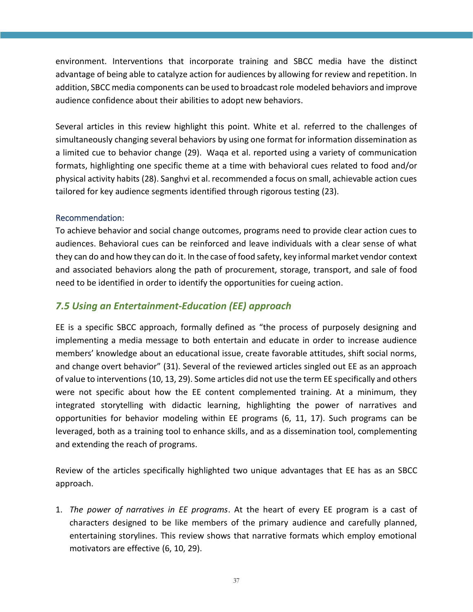environment. Interventions that incorporate training and SBCC media have the distinct advantage of being able to catalyze action for audiences by allowing for review and repetition. In addition, SBCC media components can be used to broadcast role modeled behaviors and improve audience confidence about their abilities to adopt new behaviors.

Several articles in this review highlight this point. White et al. referred to the challenges of simultaneously changing several behaviors by using one format for information dissemination as a limited cue to behavior change (29). Waqa et al. reported using a variety of communication formats, highlighting one specific theme at a time with behavioral cues related to food and/or physical activity habits (28). Sanghvi et al. recommended a focus on small, achievable action cues tailored for key audience segments identified through rigorous testing (23).

#### Recommendation:

To achieve behavior and social change outcomes, programs need to provide clear action cues to audiences. Behavioral cues can be reinforced and leave individuals with a clear sense of what they can do and how they can do it. In the case of food safety, key informal market vendor context and associated behaviors along the path of procurement, storage, transport, and sale of food need to be identified in order to identify the opportunities for cueing action.

### <span id="page-36-0"></span>*7.5 Using an Entertainment-Education (EE) approach*

EE is a specific SBCC approach, formally defined as "the process of purposely designing and implementing a media message to both entertain and educate in order to increase audience members' knowledge about an educational issue, create favorable attitudes, shift social norms, and change overt behavior" (31). Several of the reviewed articles singled out EE as an approach of value to interventions (10, 13, 29). Some articles did not use the term EE specifically and others were not specific about how the EE content complemented training. At a minimum, they integrated storytelling with didactic learning, highlighting the power of narratives and opportunities for behavior modeling within EE programs (6, 11, 17). Such programs can be leveraged, both as a training tool to enhance skills, and as a dissemination tool, complementing and extending the reach of programs.

Review of the articles specifically highlighted two unique advantages that EE has as an SBCC approach.

1. *The power of narratives in EE programs*. At the heart of every EE program is a cast of characters designed to be like members of the primary audience and carefully planned, entertaining storylines. This review shows that narrative formats which employ emotional motivators are effective (6, 10, 29).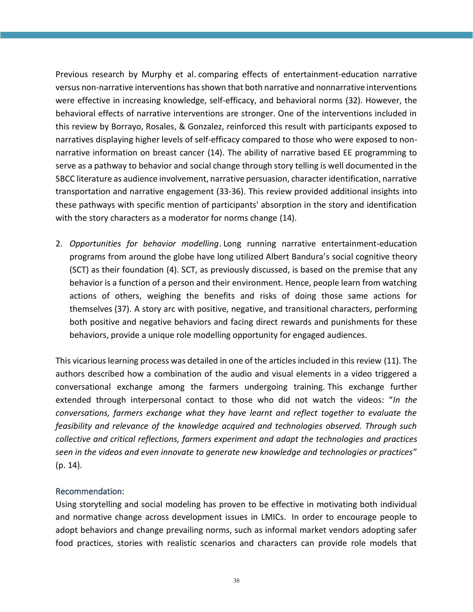Previous research by Murphy et al. comparing effects of entertainment-education narrative versus non-narrative interventions has shown that both narrative and nonnarrative interventions were effective in increasing knowledge, self-efficacy, and behavioral norms (32). However, the behavioral effects of narrative interventions are stronger. One of the interventions included in this review by Borrayo, Rosales, & Gonzalez, reinforced this result with participants exposed to narratives displaying higher levels of self-efficacy compared to those who were exposed to nonnarrative information on breast cancer (14). The ability of narrative based EE programming to serve as a pathway to behavior and social change through story telling is well documented in the SBCC literature as audience involvement, narrative persuasion, character identification, narrative transportation and narrative engagement (33-36). This review provided additional insights into these pathways with specific mention of participants' absorption in the story and identification with the story characters as a moderator for norms change (14).

2. *Opportunities for behavior modelling*. Long running narrative entertainment-education programs from around the globe have long utilized Albert Bandura's social cognitive theory (SCT) as their foundation (4). SCT, as previously discussed, is based on the premise that any behavior is a function of a person and their environment. Hence, people learn from watching actions of others, weighing the benefits and risks of doing those same actions for themselves (37). A story arc with positive, negative, and transitional characters, performing both positive and negative behaviors and facing direct rewards and punishments for these behaviors, provide a unique role modelling opportunity for engaged audiences.

This vicarious learning process was detailed in one of the articles included in this review (11). The authors described how a combination of the audio and visual elements in a video triggered a conversational exchange among the farmers undergoing training. This exchange further extended through interpersonal contact to those who did not watch the videos: "*In the conversations, farmers exchange what they have learnt and reflect together to evaluate the feasibility and relevance of the knowledge acquired and technologies observed. Through such collective and critical reflections, farmers experiment and adapt the technologies and practices seen in the videos and even innovate to generate new knowledge and technologies or practices*" (p. 14).

#### Recommendation:

Using storytelling and social modeling has proven to be effective in motivating both individual and normative change across development issues in LMICs. In order to encourage people to adopt behaviors and change prevailing norms, such as informal market vendors adopting safer food practices, stories with realistic scenarios and characters can provide role models that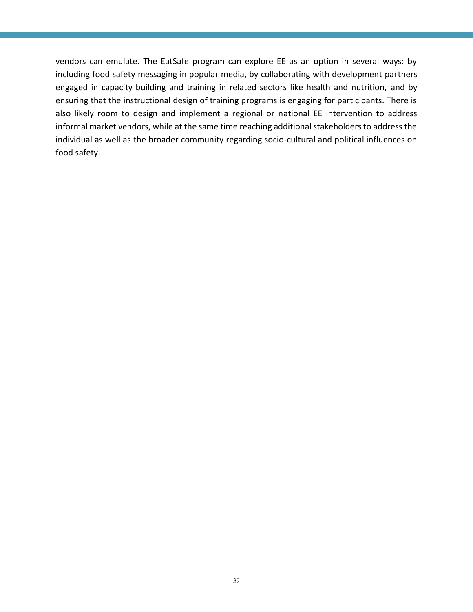vendors can emulate. The EatSafe program can explore EE as an option in several ways: by including food safety messaging in popular media, by collaborating with development partners engaged in capacity building and training in related sectors like health and nutrition, and by ensuring that the instructional design of training programs is engaging for participants. There is also likely room to design and implement a regional or national EE intervention to address informal market vendors, while at the same time reaching additional stakeholders to address the individual as well as the broader community regarding socio-cultural and political influences on food safety.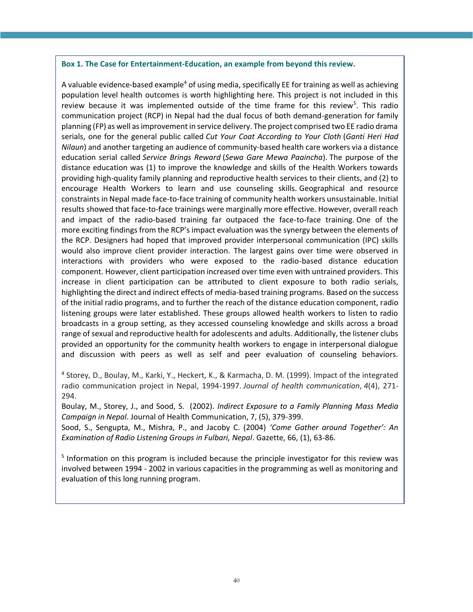#### **Box 1. The Case for Entertainment-Education, an example from beyond this review.**

A valuable evidence-based example<sup>4</sup> of using media, specifically EE for training as well as achieving population level health outcomes is worth highlighting here. This project is not included in this review because it was implemented outside of the time frame for this review<sup>5</sup>. This radio communication project (RCP) in Nepal had the dual focus of both demand-generation for family planning (FP) as well as improvement in service delivery. The project comprised two EE radio drama serials, one for the general public called *Cut Your Coat According to Your Cloth* (*Ganti Heri Had Nilaun*) and another targeting an audience of community-based health care workers via a distance education serial called *Service Brings Reward* (*Sewa Gare Mewa Paaincha*). The purpose of the distance education was (1) to improve the knowledge and skills of the Health Workers towards providing high-quality family planning and reproductive health services to their clients, and (2) to encourage Health Workers to learn and use counseling skills. Geographical and resource constraints in Nepal made face-to-face training of community health workers unsustainable. Initial results showed that face-to-face trainings were marginally more effective. However, overall reach and impact of the radio-based training far outpaced the face-to-face training. One of the more exciting findings from the RCP's impact evaluation was the synergy between the elements of the RCP. Designers had hoped that improved provider interpersonal communication (IPC) skills would also improve client provider interaction. The largest gains over time were observed in interactions with providers who were exposed to the radio-based distance education component. However, client participation increased over time even with untrained providers. This increase in client participation can be attributed to client exposure to both radio serials, highlighting the direct and indirect effects of media-based training programs. Based on the success of the initial radio programs, and to further the reach of the distance education component, radio listening groups were later established. These groups allowed health workers to listen to radio broadcasts in a group setting, as they accessed counseling knowledge and skills across a broad range of sexual and reproductive health for adolescents and adults. Additionally, the listener clubs provided an opportunity for the community health workers to engage in interpersonal dialogue and discussion with peers as well as self and peer evaluation of counseling behaviors.

4 Storey, D., Boulay, M., Karki, Y., Heckert, K., & Karmacha, D. M. (1999). Impact of the integrated radio communication project in Nepal, 1994-1997. *Journal of health communication*, *4*(4), 271- 294.

Boulay, M., Storey, J., and Sood, S. (2002). *Indirect Exposure to a Family Planning Mass Media Campaign in Nepal*. Journal of Health Communication, 7, (5), 379-399.

Sood, S., Sengupta, M., Mishra, P., and Jacoby C. (2004) *'Come Gather around Together': An Examination of Radio Listening Groups in Fulbari, Nepal*. Gazette, 66, (1), 63-86.

<sup>5</sup> Information on this program is included because the principle investigator for this review was involved between 1994 - 2002 in various capacities in the programming as well as monitoring and evaluation of this long running program.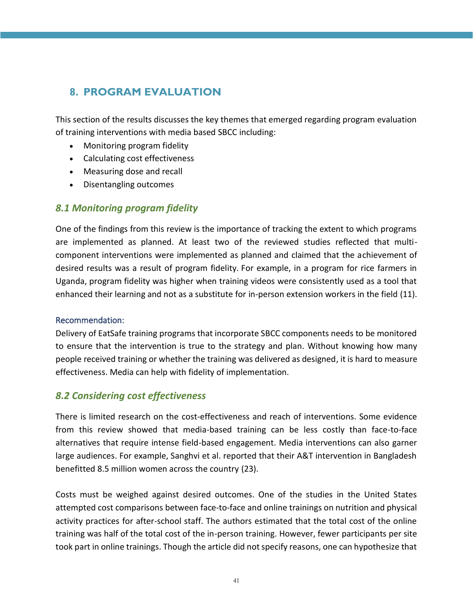## <span id="page-40-0"></span>**8. PROGRAM EVALUATION**

This section of the results discusses the key themes that emerged regarding program evaluation of training interventions with media based SBCC including:

- Monitoring program fidelity
- Calculating cost effectiveness
- Measuring dose and recall
- Disentangling outcomes

## <span id="page-40-1"></span>*8.1 Monitoring program fidelity*

One of the findings from this review is the importance of tracking the extent to which programs are implemented as planned. At least two of the reviewed studies reflected that multicomponent interventions were implemented as planned and claimed that the achievement of desired results was a result of program fidelity. For example, in a program for rice farmers in Uganda, program fidelity was higher when training videos were consistently used as a tool that enhanced their learning and not as a substitute for in-person extension workers in the field (11).

#### Recommendation:

Delivery of EatSafe training programs that incorporate SBCC components needs to be monitored to ensure that the intervention is true to the strategy and plan. Without knowing how many people received training or whether the training was delivered as designed, it is hard to measure effectiveness. Media can help with fidelity of implementation.

## <span id="page-40-2"></span>*8.2 Considering cost effectiveness*

There is limited research on the cost-effectiveness and reach of interventions. Some evidence from this review showed that media-based training can be less costly than face-to-face alternatives that require intense field-based engagement. Media interventions can also garner large audiences. For example, Sanghvi et al. reported that their A&T intervention in Bangladesh benefitted 8.5 million women across the country (23).

Costs must be weighed against desired outcomes. One of the studies in the United States attempted cost comparisons between face-to-face and online trainings on nutrition and physical activity practices for after-school staff. The authors estimated that the total cost of the online training was half of the total cost of the in-person training. However, fewer participants per site took part in online trainings. Though the article did not specify reasons, one can hypothesize that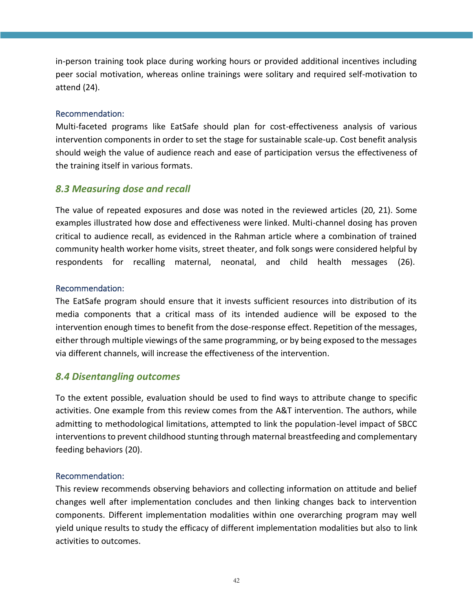in-person training took place during working hours or provided additional incentives including peer social motivation, whereas online trainings were solitary and required self-motivation to attend (24).

#### Recommendation:

Multi-faceted programs like EatSafe should plan for cost-effectiveness analysis of various intervention components in order to set the stage for sustainable scale-up. Cost benefit analysis should weigh the value of audience reach and ease of participation versus the effectiveness of the training itself in various formats.

#### <span id="page-41-0"></span>*8.3 Measuring dose and recall*

The value of repeated exposures and dose was noted in the reviewed articles (20, 21). Some examples illustrated how dose and effectiveness were linked. Multi-channel dosing has proven critical to audience recall, as evidenced in the Rahman article where a combination of trained community health worker home visits, street theater, and folk songs were considered helpful by respondents for recalling maternal, neonatal, and child health messages (26).

#### Recommendation:

The EatSafe program should ensure that it invests sufficient resources into distribution of its media components that a critical mass of its intended audience will be exposed to the intervention enough times to benefit from the dose-response effect. Repetition of the messages, either through multiple viewings of the same programming, or by being exposed to the messages via different channels, will increase the effectiveness of the intervention.

#### <span id="page-41-1"></span>*8.4 Disentangling outcomes*

To the extent possible, evaluation should be used to find ways to attribute change to specific activities. One example from this review comes from the A&T intervention. The authors, while admitting to methodological limitations, attempted to link the population-level impact of SBCC interventions to prevent childhood stunting through maternal breastfeeding and complementary feeding behaviors (20).

#### Recommendation:

This review recommends observing behaviors and collecting information on attitude and belief changes well after implementation concludes and then linking changes back to intervention components. Different implementation modalities within one overarching program may well yield unique results to study the efficacy of different implementation modalities but also to link activities to outcomes.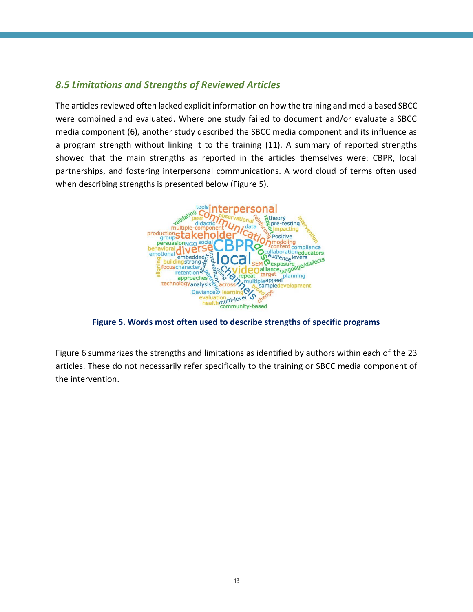## <span id="page-42-0"></span>*8.5 Limitations and Strengths of Reviewed Articles*

The articles reviewed often lacked explicit information on how the training and media based SBCC were combined and evaluated. Where one study failed to document and/or evaluate a SBCC media component (6), another study described the SBCC media component and its influence as a program strength without linking it to the training (11). A summary of reported strengths showed that the main strengths as reported in the articles themselves were: CBPR, local partnerships, and fostering interpersonal communications. A word cloud of terms often used when describing strengths is presented below (Figure 5).



**Figure 5. Words most often used to describe strengths of specific programs**

<span id="page-42-1"></span>Figure 6 summarizes the strengths and limitations as identified by authors within each of the 23 articles. These do not necessarily refer specifically to the training or SBCC media component of the intervention.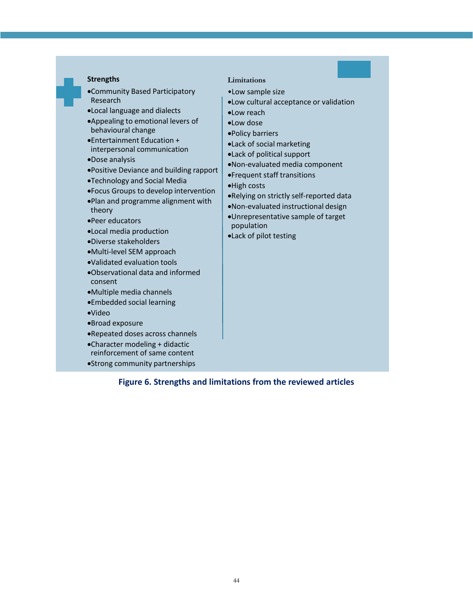#### **Strengths**

- •Community Based Participatory Research
- •Local language and dialects
- •Appealing to emotional levers of behavioural change
- •Entertainment Education + interpersonal communication
- •Dose analysis
- •Positive Deviance and building rapport
- •Technology and Social Media
- •Focus Groups to develop intervention
- •Plan and programme alignment with theory
- •Peer educators
- •Local media production
- •Diverse stakeholders
- •Multi-level SEM approach
- •Validated evaluation tools
- •Observational data and informed consent
- •Multiple media channels
- •Embedded social learning
- •Video
- •Broad exposure
- •Repeated doses across channels
- •Character modeling + didactic
- reinforcement of same content
- <span id="page-43-0"></span>•Strong community partnerships

#### **Limitations**

- •Low sample size
- •Low cultural acceptance or validation
- •Low reach
- •Low dose
- •Policy barriers
- •Lack of social marketing
- •Lack of political support
- •Non-evaluated media component
- •Frequent staff transitions
- •High costs
- •Relying on strictly self-reported data
- •Non-evaluated instructional design
- •Unrepresentative sample of target population
- •Lack of pilot testing

**Figure 6. Strengths and limitations from the reviewed articles**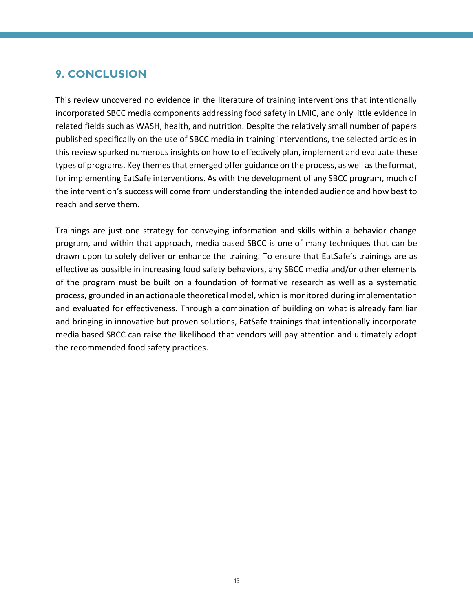## <span id="page-44-0"></span>**9. CONCLUSION**

This review uncovered no evidence in the literature of training interventions that intentionally incorporated SBCC media components addressing food safety in LMIC, and only little evidence in related fields such as WASH, health, and nutrition. Despite the relatively small number of papers published specifically on the use of SBCC media in training interventions, the selected articles in this review sparked numerous insights on how to effectively plan, implement and evaluate these types of programs. Key themes that emerged offer guidance on the process, as well as the format, for implementing EatSafe interventions. As with the development of any SBCC program, much of the intervention's success will come from understanding the intended audience and how best to reach and serve them.

Trainings are just one strategy for conveying information and skills within a behavior change program, and within that approach, media based SBCC is one of many techniques that can be drawn upon to solely deliver or enhance the training. To ensure that EatSafe's trainings are as effective as possible in increasing food safety behaviors, any SBCC media and/or other elements of the program must be built on a foundation of formative research as well as a systematic process, grounded in an actionable theoretical model, which is monitored during implementation and evaluated for effectiveness. Through a combination of building on what is already familiar and bringing in innovative but proven solutions, EatSafe trainings that intentionally incorporate media based SBCC can raise the likelihood that vendors will pay attention and ultimately adopt the recommended food safety practices.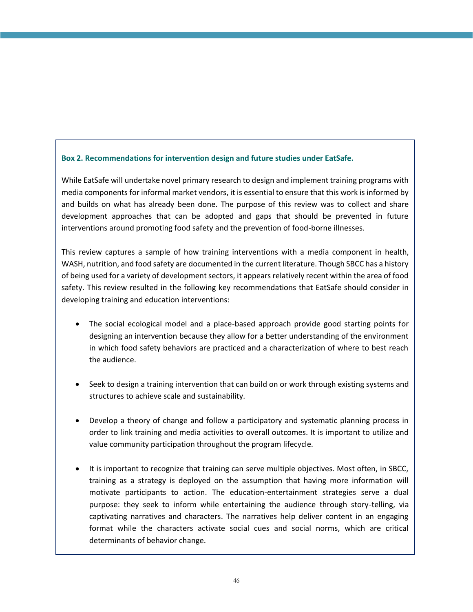#### **Box 2. Recommendations for intervention design and future studies under EatSafe.**

While EatSafe will undertake novel primary research to design and implement training programs with media components for informal market vendors, it is essential to ensure that this work is informed by and builds on what has already been done. The purpose of this review was to collect and share development approaches that can be adopted and gaps that should be prevented in future interventions around promoting food safety and the prevention of food-borne illnesses.

This review captures a sample of how training interventions with a media component in health, WASH, nutrition, and food safety are documented in the current literature. Though SBCC has a history of being used for a variety of development sectors, it appears relatively recent within the area of food safety. This review resulted in the following key recommendations that EatSafe should consider in developing training and education interventions:

- The social ecological model and a place-based approach provide good starting points for designing an intervention because they allow for a better understanding of the environment in which food safety behaviors are practiced and a characterization of where to best reach the audience.
- Seek to design a training intervention that can build on or work through existing systems and structures to achieve scale and sustainability.
- Develop a theory of change and follow a participatory and systematic planning process in order to link training and media activities to overall outcomes. It is important to utilize and value community participation throughout the program lifecycle.
- It is important to recognize that training can serve multiple objectives. Most often, in SBCC, training as a strategy is deployed on the assumption that having more information will motivate participants to action. The education-entertainment strategies serve a dual purpose: they seek to inform while entertaining the audience through story-telling, via captivating narratives and characters. The narratives help deliver content in an engaging format while the characters activate social cues and social norms, which are critical determinants of behavior change.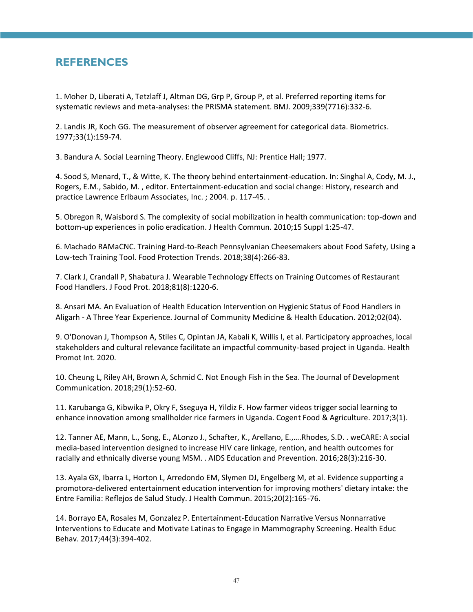## <span id="page-46-0"></span>**REFERENCES**

1. Moher D, Liberati A, Tetzlaff J, Altman DG, Grp P, Group P, et al. Preferred reporting items for systematic reviews and meta-analyses: the PRISMA statement. BMJ. 2009;339(7716):332-6.

2. Landis JR, Koch GG. The measurement of observer agreement for categorical data. Biometrics. 1977;33(1):159-74.

3. Bandura A. Social Learning Theory. Englewood Cliffs, NJ: Prentice Hall; 1977.

4. Sood S, Menard, T., & Witte, K. The theory behind entertainment-education. In: Singhal A, Cody, M. J., Rogers, E.M., Sabido, M. , editor. Entertainment-education and social change: History, research and practice Lawrence Erlbaum Associates, Inc. ; 2004. p. 117-45. .

5. Obregon R, Waisbord S. The complexity of social mobilization in health communication: top-down and bottom-up experiences in polio eradication. J Health Commun. 2010;15 Suppl 1:25-47.

6. Machado RAMaCNC. Training Hard-to-Reach Pennsylvanian Cheesemakers about Food Safety, Using a Low-tech Training Tool. Food Protection Trends. 2018;38(4):266-83.

7. Clark J, Crandall P, Shabatura J. Wearable Technology Effects on Training Outcomes of Restaurant Food Handlers. J Food Prot. 2018;81(8):1220-6.

8. Ansari MA. An Evaluation of Health Education Intervention on Hygienic Status of Food Handlers in Aligarh - A Three Year Experience. Journal of Community Medicine & Health Education. 2012;02(04).

9. O'Donovan J, Thompson A, Stiles C, Opintan JA, Kabali K, Willis I, et al. Participatory approaches, local stakeholders and cultural relevance facilitate an impactful community-based project in Uganda. Health Promot Int. 2020.

10. Cheung L, Riley AH, Brown A, Schmid C. Not Enough Fish in the Sea. The Journal of Development Communication. 2018;29(1):52-60.

11. Karubanga G, Kibwika P, Okry F, Sseguya H, Yildiz F. How farmer videos trigger social learning to enhance innovation among smallholder rice farmers in Uganda. Cogent Food & Agriculture. 2017;3(1).

12. Tanner AE, Mann, L., Song, E., ALonzo J., Schafter, K., Arellano, E.,….Rhodes, S.D. . weCARE: A social media-based intervention designed to increase HIV care linkage, rention, and health outcomes for racially and ethnically diverse young MSM. . AIDS Education and Prevention. 2016;28(3):216-30.

13. Ayala GX, Ibarra L, Horton L, Arredondo EM, Slymen DJ, Engelberg M, et al. Evidence supporting a promotora-delivered entertainment education intervention for improving mothers' dietary intake: the Entre Familia: Reflejos de Salud Study. J Health Commun. 2015;20(2):165-76.

14. Borrayo EA, Rosales M, Gonzalez P. Entertainment-Education Narrative Versus Nonnarrative Interventions to Educate and Motivate Latinas to Engage in Mammography Screening. Health Educ Behav. 2017;44(3):394-402.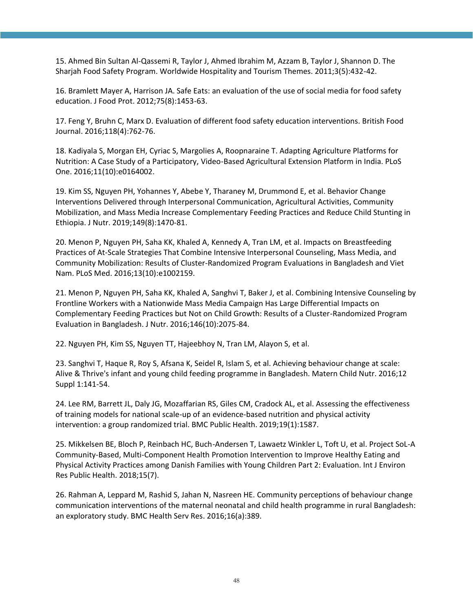15. Ahmed Bin Sultan Al‐Qassemi R, Taylor J, Ahmed Ibrahim M, Azzam B, Taylor J, Shannon D. The Sharjah Food Safety Program. Worldwide Hospitality and Tourism Themes. 2011;3(5):432-42.

16. Bramlett Mayer A, Harrison JA. Safe Eats: an evaluation of the use of social media for food safety education. J Food Prot. 2012;75(8):1453-63.

17. Feng Y, Bruhn C, Marx D. Evaluation of different food safety education interventions. British Food Journal. 2016;118(4):762-76.

18. Kadiyala S, Morgan EH, Cyriac S, Margolies A, Roopnaraine T. Adapting Agriculture Platforms for Nutrition: A Case Study of a Participatory, Video-Based Agricultural Extension Platform in India. PLoS One. 2016;11(10):e0164002.

19. Kim SS, Nguyen PH, Yohannes Y, Abebe Y, Tharaney M, Drummond E, et al. Behavior Change Interventions Delivered through Interpersonal Communication, Agricultural Activities, Community Mobilization, and Mass Media Increase Complementary Feeding Practices and Reduce Child Stunting in Ethiopia. J Nutr. 2019;149(8):1470-81.

20. Menon P, Nguyen PH, Saha KK, Khaled A, Kennedy A, Tran LM, et al. Impacts on Breastfeeding Practices of At-Scale Strategies That Combine Intensive Interpersonal Counseling, Mass Media, and Community Mobilization: Results of Cluster-Randomized Program Evaluations in Bangladesh and Viet Nam. PLoS Med. 2016;13(10):e1002159.

21. Menon P, Nguyen PH, Saha KK, Khaled A, Sanghvi T, Baker J, et al. Combining Intensive Counseling by Frontline Workers with a Nationwide Mass Media Campaign Has Large Differential Impacts on Complementary Feeding Practices but Not on Child Growth: Results of a Cluster-Randomized Program Evaluation in Bangladesh. J Nutr. 2016;146(10):2075-84.

22. Nguyen PH, Kim SS, Nguyen TT, Hajeebhoy N, Tran LM, Alayon S, et al.

23. Sanghvi T, Haque R, Roy S, Afsana K, Seidel R, Islam S, et al. Achieving behaviour change at scale: Alive & Thrive's infant and young child feeding programme in Bangladesh. Matern Child Nutr. 2016;12 Suppl 1:141-54.

24. Lee RM, Barrett JL, Daly JG, Mozaffarian RS, Giles CM, Cradock AL, et al. Assessing the effectiveness of training models for national scale-up of an evidence-based nutrition and physical activity intervention: a group randomized trial. BMC Public Health. 2019;19(1):1587.

25. Mikkelsen BE, Bloch P, Reinbach HC, Buch-Andersen T, Lawaetz Winkler L, Toft U, et al. Project SoL-A Community-Based, Multi-Component Health Promotion Intervention to Improve Healthy Eating and Physical Activity Practices among Danish Families with Young Children Part 2: Evaluation. Int J Environ Res Public Health. 2018;15(7).

26. Rahman A, Leppard M, Rashid S, Jahan N, Nasreen HE. Community perceptions of behaviour change communication interventions of the maternal neonatal and child health programme in rural Bangladesh: an exploratory study. BMC Health Serv Res. 2016;16(a):389.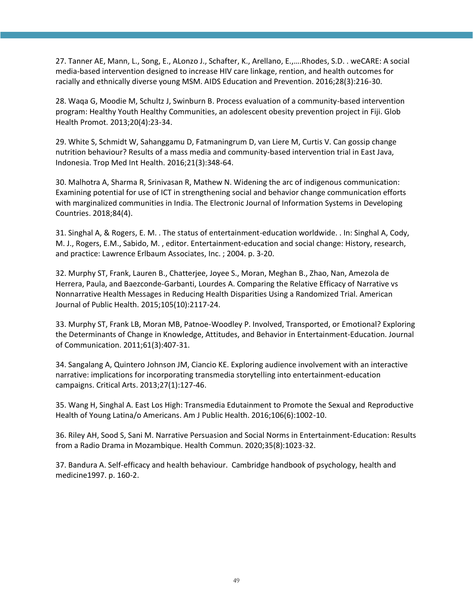27. Tanner AE, Mann, L., Song, E., ALonzo J., Schafter, K., Arellano, E.,….Rhodes, S.D. . weCARE: A social media-based intervention designed to increase HIV care linkage, rention, and health outcomes for racially and ethnically diverse young MSM. AIDS Education and Prevention. 2016;28(3):216-30.

28. Waqa G, Moodie M, Schultz J, Swinburn B. Process evaluation of a community-based intervention program: Healthy Youth Healthy Communities, an adolescent obesity prevention project in Fiji. Glob Health Promot. 2013;20(4):23-34.

29. White S, Schmidt W, Sahanggamu D, Fatmaningrum D, van Liere M, Curtis V. Can gossip change nutrition behaviour? Results of a mass media and community-based intervention trial in East Java, Indonesia. Trop Med Int Health. 2016;21(3):348-64.

30. Malhotra A, Sharma R, Srinivasan R, Mathew N. Widening the arc of indigenous communication: Examining potential for use of ICT in strengthening social and behavior change communication efforts with marginalized communities in India. The Electronic Journal of Information Systems in Developing Countries. 2018;84(4).

31. Singhal A, & Rogers, E. M. . The status of entertainment-education worldwide. . In: Singhal A, Cody, M. J., Rogers, E.M., Sabido, M. , editor. Entertainment-education and social change: History, research, and practice: Lawrence Erlbaum Associates, Inc. ; 2004. p. 3-20.

32. Murphy ST, Frank, Lauren B., Chatterjee, Joyee S., Moran, Meghan B., Zhao, Nan, Amezola de Herrera, Paula, and Baezconde-Garbanti, Lourdes A. Comparing the Relative Efficacy of Narrative vs Nonnarrative Health Messages in Reducing Health Disparities Using a Randomized Trial. American Journal of Public Health. 2015;105(10):2117-24.

33. Murphy ST, Frank LB, Moran MB, Patnoe-Woodley P. Involved, Transported, or Emotional? Exploring the Determinants of Change in Knowledge, Attitudes, and Behavior in Entertainment-Education. Journal of Communication. 2011;61(3):407-31.

34. Sangalang A, Quintero Johnson JM, Ciancio KE. Exploring audience involvement with an interactive narrative: implications for incorporating transmedia storytelling into entertainment-education campaigns. Critical Arts. 2013;27(1):127-46.

35. Wang H, Singhal A. East Los High: Transmedia Edutainment to Promote the Sexual and Reproductive Health of Young Latina/o Americans. Am J Public Health. 2016;106(6):1002-10.

36. Riley AH, Sood S, Sani M. Narrative Persuasion and Social Norms in Entertainment-Education: Results from a Radio Drama in Mozambique. Health Commun. 2020;35(8):1023-32.

37. Bandura A. Self-efficacy and health behaviour. Cambridge handbook of psychology, health and medicine1997. p. 160-2.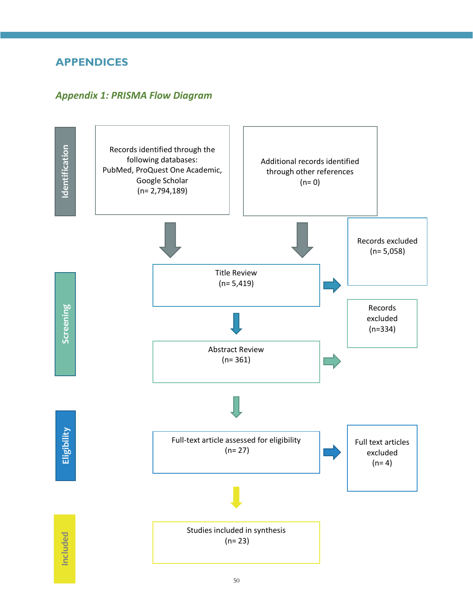## <span id="page-49-0"></span>**APPENDICES**

## <span id="page-49-1"></span>*Appendix 1: PRISMA Flow Diagram*

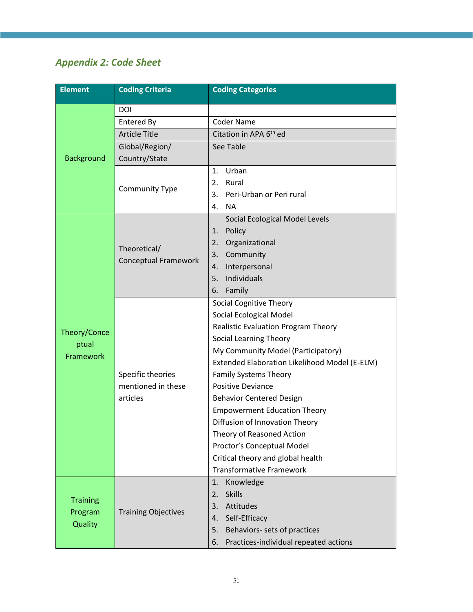## <span id="page-50-0"></span>*Appendix 2: Code Sheet*

| <b>Element</b>                        | <b>Coding Criteria</b>                              | <b>Coding Categories</b>                                                                                                                                                                                                                                                                                                                                                                                                                                                                                                     |  |  |  |  |  |
|---------------------------------------|-----------------------------------------------------|------------------------------------------------------------------------------------------------------------------------------------------------------------------------------------------------------------------------------------------------------------------------------------------------------------------------------------------------------------------------------------------------------------------------------------------------------------------------------------------------------------------------------|--|--|--|--|--|
|                                       | <b>DOI</b>                                          |                                                                                                                                                                                                                                                                                                                                                                                                                                                                                                                              |  |  |  |  |  |
|                                       | Entered By                                          | <b>Coder Name</b>                                                                                                                                                                                                                                                                                                                                                                                                                                                                                                            |  |  |  |  |  |
|                                       | <b>Article Title</b>                                | Citation in APA 6 <sup>th</sup> ed                                                                                                                                                                                                                                                                                                                                                                                                                                                                                           |  |  |  |  |  |
|                                       | Global/Region/                                      | See Table                                                                                                                                                                                                                                                                                                                                                                                                                                                                                                                    |  |  |  |  |  |
| <b>Background</b>                     | Country/State                                       |                                                                                                                                                                                                                                                                                                                                                                                                                                                                                                                              |  |  |  |  |  |
|                                       | <b>Community Type</b>                               | Urban<br>1.<br>Rural<br>2.<br>3.<br>Peri-Urban or Peri rural<br>4.<br><b>NA</b>                                                                                                                                                                                                                                                                                                                                                                                                                                              |  |  |  |  |  |
|                                       | Theoretical/<br><b>Conceptual Framework</b>         | Social Ecological Model Levels<br>1.<br>Policy<br>Organizational<br>2.<br>Community<br>3.<br>Interpersonal<br>4.<br>Individuals<br>5.<br>Family<br>6.                                                                                                                                                                                                                                                                                                                                                                        |  |  |  |  |  |
| Theory/Conce<br>ptual<br>Framework    | Specific theories<br>mentioned in these<br>articles | <b>Social Cognitive Theory</b><br>Social Ecological Model<br>Realistic Evaluation Program Theory<br>Social Learning Theory<br>My Community Model (Participatory)<br>Extended Elaboration Likelihood Model (E-ELM)<br><b>Family Systems Theory</b><br><b>Positive Deviance</b><br><b>Behavior Centered Design</b><br><b>Empowerment Education Theory</b><br>Diffusion of Innovation Theory<br>Theory of Reasoned Action<br>Proctor's Conceptual Model<br>Critical theory and global health<br><b>Transformative Framework</b> |  |  |  |  |  |
| <b>Training</b><br>Program<br>Quality | <b>Training Objectives</b>                          | Knowledge<br>1.<br><b>Skills</b><br>2.<br>3.<br>Attitudes<br>Self-Efficacy<br>4.<br>Behaviors- sets of practices<br>5.<br>Practices-individual repeated actions<br>6.                                                                                                                                                                                                                                                                                                                                                        |  |  |  |  |  |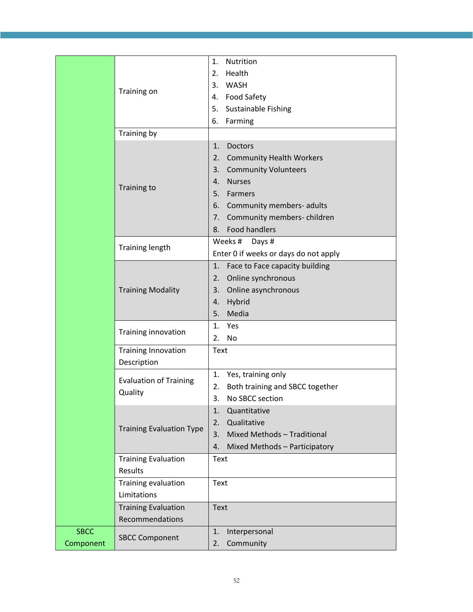|             |                                 | Nutrition<br>$\mathbf{1}$ .           |
|-------------|---------------------------------|---------------------------------------|
|             |                                 | Health<br>2.                          |
|             | Training on                     | 3. WASH                               |
|             |                                 | 4. Food Safety                        |
|             |                                 | 5.<br><b>Sustainable Fishing</b>      |
|             |                                 | 6.<br>Farming                         |
|             | Training by                     |                                       |
|             |                                 | 1.<br><b>Doctors</b>                  |
|             |                                 | 2.<br><b>Community Health Workers</b> |
|             |                                 | <b>Community Volunteers</b><br>3.     |
|             | Training to                     | <b>Nurses</b><br>4.                   |
|             |                                 | 5.<br>Farmers                         |
|             |                                 | Community members- adults<br>6.       |
|             |                                 | Community members-children<br>7.      |
|             |                                 | <b>Food handlers</b><br>8.            |
|             |                                 | Weeks #<br>Days #                     |
|             | <b>Training length</b>          | Enter 0 if weeks or days do not apply |
|             |                                 | Face to Face capacity building<br>1.  |
|             |                                 | Online synchronous<br>2.              |
|             | <b>Training Modality</b>        | Online asynchronous<br>3.             |
|             |                                 | Hybrid<br>4.                          |
|             |                                 | Media<br>5.                           |
|             | Training innovation             | 1.<br>Yes                             |
|             |                                 | No<br>2.                              |
|             | <b>Training Innovation</b>      | Text                                  |
|             | Description                     |                                       |
|             | <b>Evaluation of Training</b>   | Yes, training only<br>1.              |
|             | Quality                         | Both training and SBCC together<br>2. |
|             |                                 | 3.<br>No SBCC section                 |
|             |                                 | Quantitative<br>1.                    |
|             | <b>Training Evaluation Type</b> | Qualitative<br>2.                     |
|             |                                 | Mixed Methods - Traditional<br>3.     |
|             |                                 | Mixed Methods - Participatory<br>4.   |
|             | <b>Training Evaluation</b>      | Text                                  |
|             | Results                         |                                       |
|             | Training evaluation             | Text                                  |
|             | Limitations                     |                                       |
|             | <b>Training Evaluation</b>      | <b>Text</b>                           |
|             | Recommendations                 |                                       |
| <b>SBCC</b> |                                 | 1.<br>Interpersonal                   |
| Component   | <b>SBCC Component</b>           | Community<br>2.                       |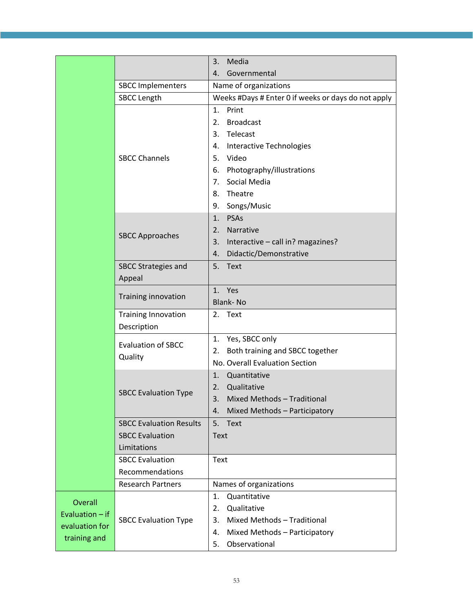|                 |                                | Media<br>3.                                            |
|-----------------|--------------------------------|--------------------------------------------------------|
|                 |                                | Governmental<br>4.                                     |
|                 | <b>SBCC Implementers</b>       | Name of organizations                                  |
|                 | <b>SBCC Length</b>             | Weeks #Days # Enter 0 if weeks or days do not apply    |
|                 |                                | Print<br>1.                                            |
|                 |                                | <b>Broadcast</b><br>2.                                 |
|                 |                                | Telecast<br>3.                                         |
|                 |                                | <b>Interactive Technologies</b><br>4.                  |
|                 | <b>SBCC Channels</b>           | 5. Video                                               |
|                 |                                | Photography/illustrations<br>6.                        |
|                 |                                | Social Media<br>7.                                     |
|                 |                                | Theatre<br>8.                                          |
|                 |                                | 9. Songs/Music                                         |
|                 |                                | <b>PSAs</b><br>1.                                      |
|                 | <b>SBCC Approaches</b>         | Narrative<br>2.                                        |
|                 |                                | Interactive - call in? magazines?<br>3.                |
|                 |                                | Didactic/Demonstrative<br>4.                           |
|                 | <b>SBCC Strategies and</b>     | 5.<br>Text                                             |
|                 | Appeal                         |                                                        |
|                 | Training innovation            | 1. Yes                                                 |
|                 |                                | <b>Blank-No</b>                                        |
|                 | <b>Training Innovation</b>     | 2. Text                                                |
|                 | Description                    |                                                        |
|                 | <b>Evaluation of SBCC</b>      | Yes, SBCC only<br>1.                                   |
|                 | Quality                        | Both training and SBCC together<br>2.                  |
|                 |                                | No. Overall Evaluation Section                         |
|                 |                                | Quantitative<br>1.                                     |
|                 | <b>SBCC Evaluation Type</b>    | Qualitative<br>2.                                      |
|                 |                                | 3.<br>Mixed Methods - Traditional                      |
|                 |                                | Mixed Methods - Participatory<br>4.                    |
|                 | <b>SBCC Evaluation Results</b> | 5.<br>Text                                             |
|                 | <b>SBCC Evaluation</b>         | <b>Text</b>                                            |
|                 | Limitations                    |                                                        |
|                 | <b>SBCC Evaluation</b>         | Text                                                   |
|                 | Recommendations                |                                                        |
|                 | <b>Research Partners</b>       | Names of organizations                                 |
| Overall         |                                | Quantitative<br>1.                                     |
| Evaluation - if |                                | Qualitative<br>2.<br>Mixed Methods - Traditional<br>3. |
| evaluation for  | <b>SBCC Evaluation Type</b>    | 4.                                                     |
| training and    |                                | Mixed Methods - Participatory<br>Observational<br>5.   |
|                 |                                |                                                        |